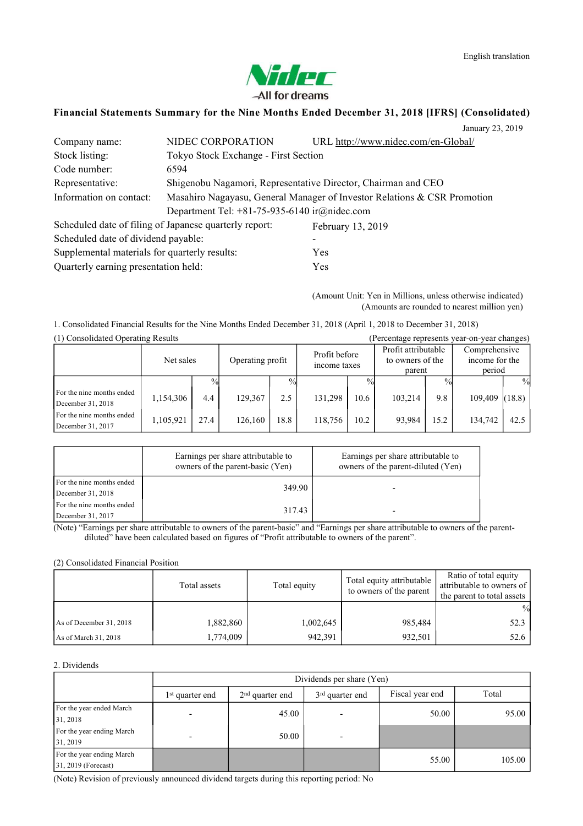

### **Financial Statements Summary for the Nine Months Ended December 31, 2018 [IFRS] (Consolidated)**

|                                               |                                                        | January 23, 2019                                                         |
|-----------------------------------------------|--------------------------------------------------------|--------------------------------------------------------------------------|
| Company name:                                 | NIDEC CORPORATION                                      | URL http://www.nidec.com/en-Global/                                      |
| Stock listing:                                | Tokyo Stock Exchange - First Section                   |                                                                          |
| Code number:                                  | 6594                                                   |                                                                          |
| Representative:                               |                                                        | Shigenobu Nagamori, Representative Director, Chairman and CEO            |
| Information on contact:                       |                                                        | Masahiro Nagayasu, General Manager of Investor Relations & CSR Promotion |
|                                               | Department Tel: $+81-75-935-6140$ ir $@nidec.com$      |                                                                          |
|                                               | Scheduled date of filing of Japanese quarterly report: | February 13, 2019                                                        |
| Scheduled date of dividend payable:           |                                                        | -                                                                        |
| Supplemental materials for quarterly results: |                                                        | Yes                                                                      |
| Quarterly earning presentation held:          |                                                        | Yes                                                                      |

(Amount Unit: Yen in Millions, unless otherwise indicated) (Amounts are rounded to nearest million yen)

1. Consolidated Financial Results for the Nine Months Ended December 31, 2018 (April 1, 2018 to December 31, 2018) (1) Consolidated Operating Results (Percentage represents year-on-year changes)

| $(1)$ Consontation Operating Results           |           |      |                  |               |                               |      |                                                   |      | $\mu$ credinage represents year-on-year emanges) |        |
|------------------------------------------------|-----------|------|------------------|---------------|-------------------------------|------|---------------------------------------------------|------|--------------------------------------------------|--------|
|                                                | Net sales |      | Operating profit |               | Profit before<br>income taxes |      | Profit attributable<br>to owners of the<br>parent |      | Comprehensive<br>income for the<br>period        |        |
|                                                |           | $\%$ |                  | $\frac{0}{0}$ |                               |      |                                                   | $\%$ |                                                  | $\%$   |
| For the nine months ended<br>December 31, 2018 | 1,154,306 | 4.4  | 129.367          | 2.5           | 131.298                       | 10.6 | 103,214                                           | 9.8  | 109,409                                          | (18.8) |
| For the nine months ended<br>December 31, 2017 | 1,105,921 | 27.4 | 126.160          | 18.8          | 118,756                       | 10.2 | 93.984                                            | 15.2 | 134.742                                          | 42.5   |

|                           | Earnings per share attributable to<br>owners of the parent-basic (Yen) | Earnings per share attributable to<br>owners of the parent-diluted (Yen) |
|---------------------------|------------------------------------------------------------------------|--------------------------------------------------------------------------|
| For the nine months ended | 349.90                                                                 |                                                                          |
| December 31, 2018         |                                                                        |                                                                          |
| For the nine months ended | 317.43                                                                 |                                                                          |
| December 31, 2017         |                                                                        |                                                                          |

(Note) "Earnings per share attributable to owners of the parent-basic" and "Earnings per share attributable to owners of the parentdiluted" have been calculated based on figures of "Profit attributable to owners of the parent".

### (2) Consolidated Financial Position

|                         | Total assets | Total equity | Total equity attributable<br>to owners of the parent | Ratio of total equity<br>attributable to owners of<br>the parent to total assets |  |
|-------------------------|--------------|--------------|------------------------------------------------------|----------------------------------------------------------------------------------|--|
|                         |              |              |                                                      | $\frac{0}{0}$                                                                    |  |
| As of December 31, 2018 | 1,882,860    | 1,002,645    | 985.484                                              | 52.3                                                                             |  |
| As of March 31, 2018    | 1,774,009    | 942,391      | 932,501                                              | 52.6                                                                             |  |

### 2. Dividends

|                           | Dividends per share (Yen)   |                   |                             |                 |        |  |  |
|---------------------------|-----------------------------|-------------------|-----------------------------|-----------------|--------|--|--|
|                           | 1 <sup>st</sup> quarter end | $2nd$ quarter end | 3 <sup>rd</sup> quarter end | Fiscal year end | Total  |  |  |
| For the year ended March  |                             | 45.00             |                             | 50.00           | 95.00  |  |  |
| 31, 2018                  |                             |                   |                             |                 |        |  |  |
| For the year ending March |                             | 50.00             |                             |                 |        |  |  |
| 31, 2019                  |                             |                   |                             |                 |        |  |  |
| For the year ending March |                             |                   |                             | 55.00           | 105.00 |  |  |
| $31, 2019$ (Forecast)     |                             |                   |                             |                 |        |  |  |

(Note) Revision of previously announced dividend targets during this reporting period: No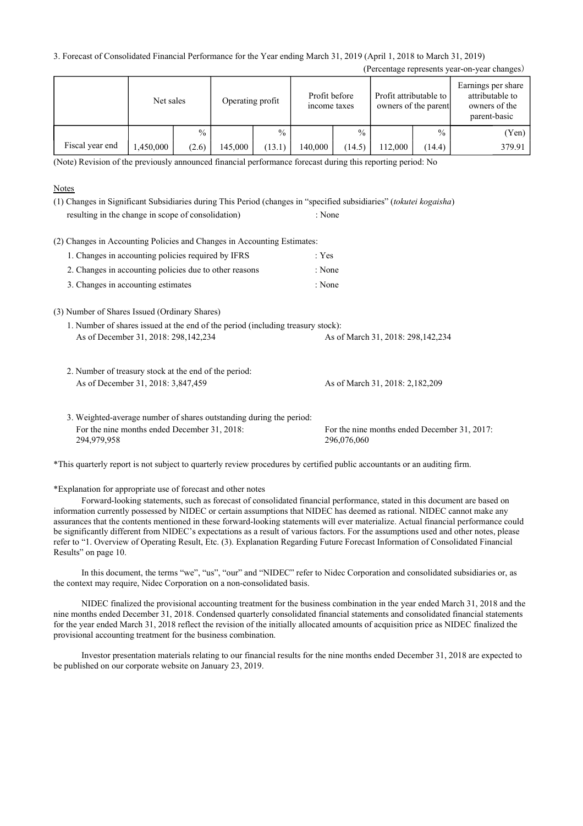3. Forecast of Consolidated Financial Performance for the Year ending March 31, 2019 (April 1, 2018 to March 31, 2019)

|                 | Net sales |       | Operating profit |               | Profit before<br>income taxes |               | Profit attributable to | owners of the parent | Earnings per share<br>attributable to<br>owners of the<br>parent-basic |
|-----------------|-----------|-------|------------------|---------------|-------------------------------|---------------|------------------------|----------------------|------------------------------------------------------------------------|
|                 |           | $\%$  |                  | $\frac{0}{0}$ |                               | $\frac{0}{0}$ |                        | $\frac{0}{0}$        | (Yen)                                                                  |
| Fiscal year end | .450,000  | (2.6) | 145.000          | (13.1)        | 140.000                       | (14.5)        | 12,000                 | (14.4)               | 379.91                                                                 |

(Percentage represents year-on-year changes)

(Note) Revision of the previously announced financial performance forecast during this reporting period: No

### **Notes**

| (1) Changes in Significant Subsidiaries during This Period (changes in "specified subsidiaries" (tokutei kogaisha)        |                                                             |
|---------------------------------------------------------------------------------------------------------------------------|-------------------------------------------------------------|
| resulting in the change in scope of consolidation)                                                                        | : None                                                      |
| (2) Changes in Accounting Policies and Changes in Accounting Estimates:                                                   |                                                             |
| 1. Changes in accounting policies required by IFRS                                                                        | : Yes                                                       |
| 2. Changes in accounting policies due to other reasons                                                                    | : None                                                      |
| 3. Changes in accounting estimates                                                                                        | : None                                                      |
| (3) Number of Shares Issued (Ordinary Shares)                                                                             |                                                             |
| 1. Number of shares issued at the end of the period (including treasury stock):                                           |                                                             |
| As of December 31, 2018: 298, 142, 234                                                                                    | As of March 31, 2018: 298, 142, 234                         |
| 2. Number of treasury stock at the end of the period:                                                                     |                                                             |
| As of December 31, 2018: 3,847,459                                                                                        | As of March 31, 2018: 2,182,209                             |
| 3. Weighted-average number of shares outstanding during the period:                                                       |                                                             |
| For the nine months ended December 31, 2018:<br>294,979,958                                                               | For the nine months ended December 31, 2017:<br>296,076,060 |
| *This quarterly report is not subject to quarterly review procedures by certified public accountants or an auditing firm. |                                                             |

\*Explanation for appropriate use of forecast and other notes

Forward-looking statements, such as forecast of consolidated financial performance, stated in this document are based on information currently possessed by NIDEC or certain assumptions that NIDEC has deemed as rational. NIDEC cannot make any assurances that the contents mentioned in these forward-looking statements will ever materialize. Actual financial performance could be significantly different from NIDEC's expectations as a result of various factors. For the assumptions used and other notes, please refer to "1. Overview of Operating Result, Etc. (3). Explanation Regarding Future Forecast Information of Consolidated Financial Results" on page 10.

In this document, the terms "we", "us", "our" and "NIDEC" refer to Nidec Corporation and consolidated subsidiaries or, as the context may require, Nidec Corporation on a non-consolidated basis.

NIDEC finalized the provisional accounting treatment for the business combination in the year ended March 31, 2018 and the nine months ended December 31, 2018. Condensed quarterly consolidated financial statements and consolidated financial statements for the year ended March 31, 2018 reflect the revision of the initially allocated amounts of acquisition price as NIDEC finalized the provisional accounting treatment for the business combination.

Investor presentation materials relating to our financial results for the nine months ended December 31, 2018 are expected to be published on our corporate website on January 23, 2019.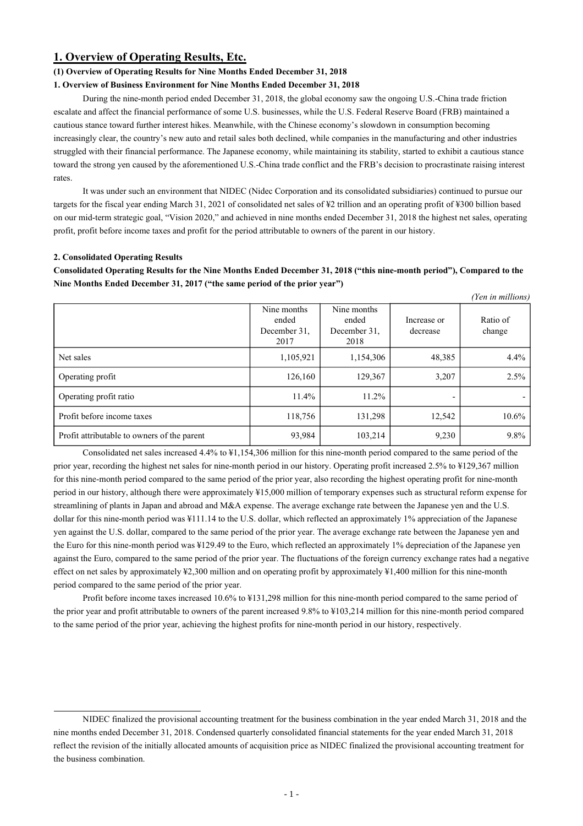### **1. Overview of Operating Results, Etc.**

### **(1) Overview of Operating Results for Nine Months Ended December 31, 2018**

### **1. Overview of Business Environment for Nine Months Ended December 31, 2018**

During the nine-month period ended December 31, 2018, the global economy saw the ongoing U.S.-China trade friction escalate and affect the financial performance of some U.S. businesses, while the U.S. Federal Reserve Board (FRB) maintained a cautious stance toward further interest hikes. Meanwhile, with the Chinese economy's slowdown in consumption becoming increasingly clear, the country's new auto and retail sales both declined, while companies in the manufacturing and other industries struggled with their financial performance. The Japanese economy, while maintaining its stability, started to exhibit a cautious stance toward the strong yen caused by the aforementioned U.S.-China trade conflict and the FRB's decision to procrastinate raising interest rates.

It was under such an environment that NIDEC (Nidec Corporation and its consolidated subsidiaries) continued to pursue our targets for the fiscal year ending March 31, 2021 of consolidated net sales of ¥2 trillion and an operating profit of ¥300 billion based on our mid-term strategic goal, "Vision 2020," and achieved in nine months ended December 31, 2018 the highest net sales, operating profit, profit before income taxes and profit for the period attributable to owners of the parent in our history.

### **2. Consolidated Operating Results**

Consolidated Operating Results for the Nine Months Ended December 31, 2018 ("this nine-month period"), Compared to the **Nine Months Ended December 31, 2017 ("the same period of the prior year")**

|                                             |                                              |                                              |                         | (Yen in millions)  |
|---------------------------------------------|----------------------------------------------|----------------------------------------------|-------------------------|--------------------|
|                                             | Nine months<br>ended<br>December 31.<br>2017 | Nine months<br>ended<br>December 31.<br>2018 | Increase or<br>decrease | Ratio of<br>change |
| Net sales                                   | 1,105,921                                    | 1,154,306                                    | 48,385                  | $4.4\%$            |
| Operating profit                            | 126,160                                      | 129,367                                      | 3,207                   | 2.5%               |
| Operating profit ratio                      | 11.4%                                        | 11.2%                                        |                         |                    |
| Profit before income taxes                  | 118,756                                      | 131,298                                      | 12,542                  | $10.6\%$           |
| Profit attributable to owners of the parent | 93,984                                       | 103,214                                      | 9,230                   | $9.8\%$            |

Consolidated net sales increased 4.4% to ¥1,154,306 million for this nine-month period compared to the same period of the prior year, recording the highest net sales for nine-month period in our history. Operating profit increased 2.5% to ¥129,367 million for this nine-month period compared to the same period of the prior year, also recording the highest operating profit for nine-month period in our history, although there were approximately ¥15,000 million of temporary expenses such as structural reform expense for streamlining of plants in Japan and abroad and M&A expense. The average exchange rate between the Japanese yen and the U.S. dollar for this nine-month period was ¥111.14 to the U.S. dollar, which reflected an approximately 1% appreciation of the Japanese yen against the U.S. dollar, compared to the same period of the prior year. The average exchange rate between the Japanese yen and the Euro for this nine-month period was ¥129.49 to the Euro, which reflected an approximately 1% depreciation of the Japanese yen against the Euro, compared to the same period of the prior year. The fluctuations of the foreign currency exchange rates had a negative effect on net sales by approximately ¥2,300 million and on operating profit by approximately ¥1,400 million for this nine-month period compared to the same period of the prior year.

Profit before income taxes increased 10.6% to ¥131,298 million for this nine-month period compared to the same period of the prior year and profit attributable to owners of the parent increased 9.8% to ¥103,214 million for this nine-month period compared to the same period of the prior year, achieving the highest profits for nine-month period in our history, respectively.

NIDEC finalized the provisional accounting treatment for the business combination in the year ended March 31, 2018 and the nine months ended December 31, 2018. Condensed quarterly consolidated financial statements for the year ended March 31, 2018 reflect the revision of the initially allocated amounts of acquisition price as NIDEC finalized the provisional accounting treatment for the business combination.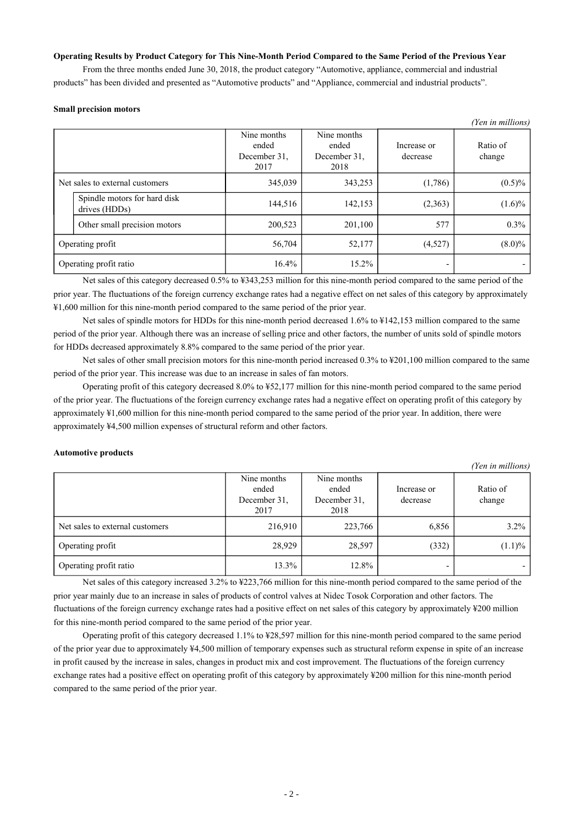### **Operating Results by Product Category for This Nine-Month Period Compared to the Same Period of the Previous Year**

From the three months ended June 30, 2018, the product category "Automotive, appliance, commercial and industrial products" has been divided and presented as "Automotive products" and "Appliance, commercial and industrial products".

#### **Small precision motors**

|                                               |                                              |                                              |                         | (Yen in millions)  |
|-----------------------------------------------|----------------------------------------------|----------------------------------------------|-------------------------|--------------------|
|                                               | Nine months<br>ended<br>December 31.<br>2017 | Nine months<br>ended<br>December 31.<br>2018 | Increase or<br>decrease | Ratio of<br>change |
| Net sales to external customers               | 345,039                                      | 343,253                                      | (1,786)                 | $(0.5)\%$          |
| Spindle motors for hard disk<br>drives (HDDs) | 144,516                                      | 142,153                                      | (2,363)                 | $(1.6)\%$          |
| Other small precision motors                  | 200,523                                      | 201,100                                      | 577                     | $0.3\%$            |
| Operating profit                              | 56,704                                       | 52,177                                       | (4,527)                 | $(8.0)\%$          |
| Operating profit ratio                        | $16.4\%$                                     | 15.2%                                        |                         |                    |

Net sales of this category decreased 0.5% to ¥343,253 million for this nine-month period compared to the same period of the prior year. The fluctuations of the foreign currency exchange rates had a negative effect on net sales of this category by approximately ¥1,600 million for this nine-month period compared to the same period of the prior year.

Net sales of spindle motors for HDDs for this nine-month period decreased 1.6% to ¥142,153 million compared to the same period of the prior year. Although there was an increase of selling price and other factors, the number of units sold of spindle motors for HDDs decreased approximately 8.8% compared to the same period of the prior year.

Net sales of other small precision motors for this nine-month period increased 0.3% to ¥201,100 million compared to the same period of the prior year. This increase was due to an increase in sales of fan motors.

Operating profit of this category decreased 8.0% to ¥52,177 million for this nine-month period compared to the same period of the prior year. The fluctuations of the foreign currency exchange rates had a negative effect on operating profit of this category by approximately ¥1,600 million for this nine-month period compared to the same period of the prior year. In addition, there were approximately ¥4,500 million expenses of structural reform and other factors.

### **Automotive products**

*(Yen in millions)* Nine months ended December 31, 2017 Nine months ended December 31, 2018 Increase or decrease Ratio of change Net sales to external customers 216,910 223,766 6,856 6,856 3.2% Operating profit 28,929 28,597 (332) (1.1)% Operating profit ratio  $13.3\%$   $|$   $12.8\%$ 

Net sales of this category increased 3.2% to ¥223,766 million for this nine-month period compared to the same period of the prior year mainly due to an increase in sales of products of control valves at Nidec Tosok Corporation and other factors. The fluctuations of the foreign currency exchange rates had a positive effect on net sales of this category by approximately ¥200 million for this nine-month period compared to the same period of the prior year.

Operating profit of this category decreased 1.1% to ¥28,597 million for this nine-month period compared to the same period of the prior year due to approximately ¥4,500 million of temporary expenses such as structural reform expense in spite of an increase in profit caused by the increase in sales, changes in product mix and cost improvement. The fluctuations of the foreign currency exchange rates had a positive effect on operating profit of this category by approximately ¥200 million for this nine-month period compared to the same period of the prior year.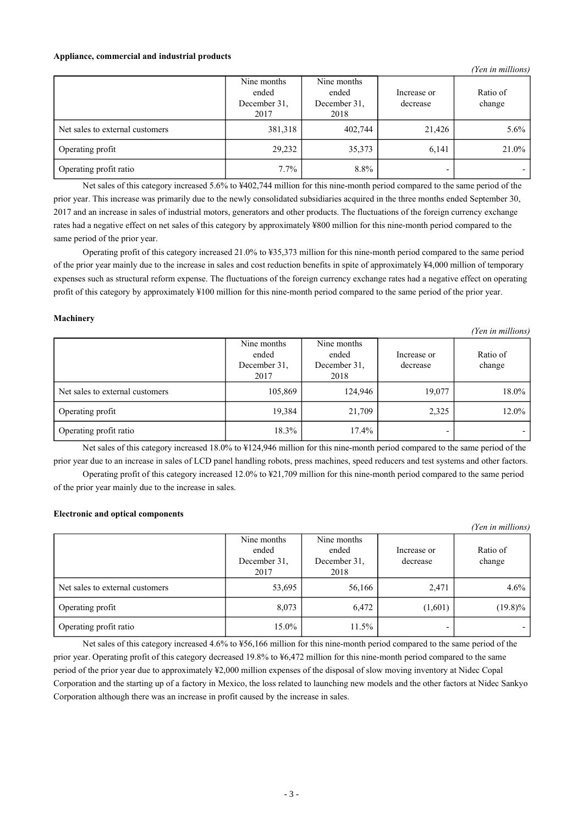#### **Appliance, commercial and industrial products**

|                                 |                                              |                                              |                         | (Yen in millions)  |
|---------------------------------|----------------------------------------------|----------------------------------------------|-------------------------|--------------------|
|                                 | Nine months<br>ended<br>December 31.<br>2017 | Nine months<br>ended<br>December 31.<br>2018 | Increase or<br>decrease | Ratio of<br>change |
| Net sales to external customers | 381,318                                      | 402,744                                      | 21,426                  | $5.6\%$            |
| Operating profit                | 29,232                                       | 35,373                                       | 6,141                   | 21.0%              |
| Operating profit ratio          | 7.7%                                         | 8.8%                                         | -                       |                    |

Net sales of this category increased 5.6% to ¥402,744 million for this nine-month period compared to the same period of the prior year. This increase was primarily due to the newly consolidated subsidiaries acquired in the three months ended September 30, 2017 and an increase in sales of industrial motors, generators and other products. The fluctuations of the foreign currency exchange rates had a negative effect on net sales of this category by approximately ¥800 million for this nine-month period compared to the same period of the prior year.

Operating profit of this category increased 21.0% to ¥35,373 million for this nine-month period compared to the same period of the prior year mainly due to the increase in sales and cost reduction benefits in spite of approximately ¥4,000 million of temporary expenses such as structural reform expense. The fluctuations of the foreign currency exchange rates had a negative effect on operating profit of this category by approximately ¥100 million for this nine-month period compared to the same period of the prior year.

### **Machinery**

|                                 | Nine months<br>ended<br>December 31.<br>2017 | Nine months<br>ended<br>December 31,<br>2018 | Increase or<br>decrease | Ratio of<br>change |
|---------------------------------|----------------------------------------------|----------------------------------------------|-------------------------|--------------------|
| Net sales to external customers | 105,869                                      | 124,946                                      | 19,077                  | $18.0\%$           |
| Operating profit                | 19,384                                       | 21,709                                       | 2,325                   | $12.0\%$           |
| Operating profit ratio          | 18.3%                                        | 17.4%                                        | -                       |                    |

*(Yen in millions)*

Net sales of this category increased 18.0% to ¥124,946 million for this nine-month period compared to the same period of the prior year due to an increase in sales of LCD panel handling robots, press machines, speed reducers and test systems and other factors.

Operating profit of this category increased 12.0% to ¥21,709 million for this nine-month period compared to the same period of the prior year mainly due to the increase in sales.

### **Electronic and optical components**

|                                 |                                              |                                              |                         | (Yen in millions)  |
|---------------------------------|----------------------------------------------|----------------------------------------------|-------------------------|--------------------|
|                                 | Nine months<br>ended<br>December 31,<br>2017 | Nine months<br>ended<br>December 31.<br>2018 | Increase or<br>decrease | Ratio of<br>change |
| Net sales to external customers | 53,695                                       | 56,166                                       | 2,471                   | $4.6\%$            |
| Operating profit                | 8,073                                        | 6,472                                        | (1,601)                 | $(19.8)\%$         |
| Operating profit ratio          | 15.0%                                        | 11.5%                                        |                         |                    |

Net sales of this category increased 4.6% to ¥56,166 million for this nine-month period compared to the same period of the prior year. Operating profit of this category decreased 19.8% to ¥6,472 million for this nine-month period compared to the same period of the prior year due to approximately ¥2,000 million expenses of the disposal of slow moving inventory at Nidec Copal Corporation and the starting up of a factory in Mexico, the loss related to launching new models and the other factors at Nidec Sankyo Corporation although there was an increase in profit caused by the increase in sales.

- 3 -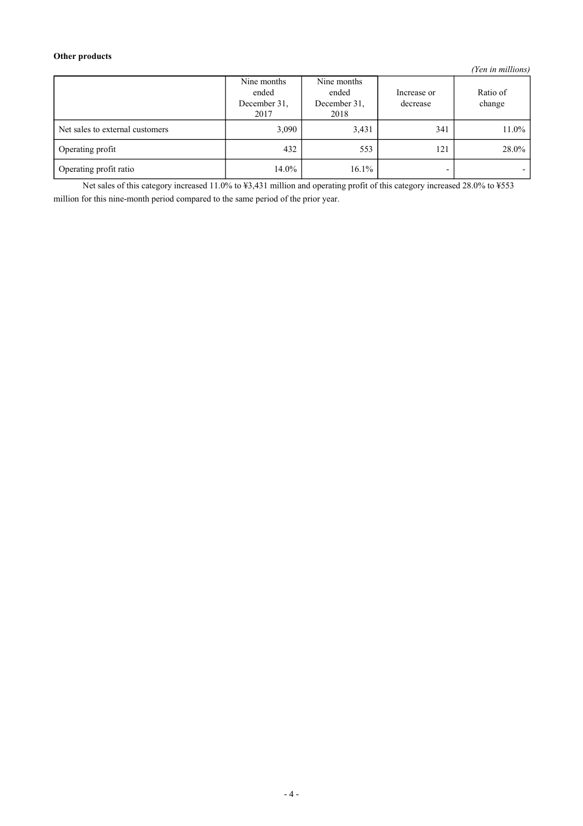### **Other products**

*(Yen in millions)*

|                                 | Nine months<br>ended<br>December 31.<br>2017 | Nine months<br>ended<br>December 31.<br>2018 | Increase or<br>decrease | Ratio of<br>change |
|---------------------------------|----------------------------------------------|----------------------------------------------|-------------------------|--------------------|
| Net sales to external customers | 3,090                                        | 3,431                                        | 341                     | $11.0\%$           |
| Operating profit                | 432                                          | 553                                          | 121                     | 28.0%              |
| Operating profit ratio          | 14.0%                                        | 16.1%                                        |                         |                    |

Net sales of this category increased 11.0% to ¥3,431 million and operating profit of this category increased 28.0% to ¥553 million for this nine-month period compared to the same period of the prior year.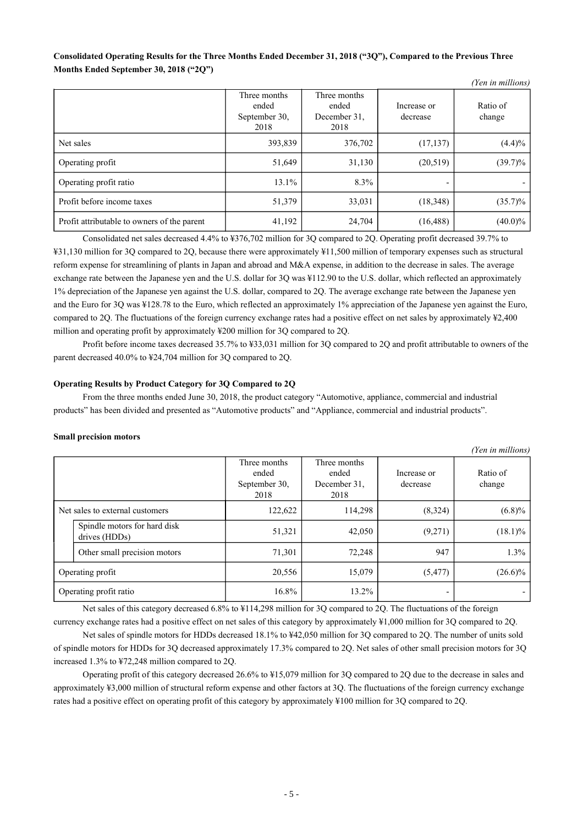### Consolidated Operating Results for the Three Months Ended December 31, 2018 ("3Q"), Compared to the Previous Three **Months Ended September 30, 2018 ("2Q")**

*(Yen in millions)*

|                                             | Three months<br>ended<br>September 30,<br>2018 | Three months<br>ended<br>December 31,<br>2018 | Increase or<br>decrease | Ratio of<br>change |
|---------------------------------------------|------------------------------------------------|-----------------------------------------------|-------------------------|--------------------|
| Net sales                                   | 393,839                                        | 376,702                                       | (17, 137)               | (4.4)%             |
| Operating profit                            | 51,649                                         | 31,130                                        | (20,519)                | $(39.7)\%$         |
| Operating profit ratio                      | 13.1%                                          | 8.3%                                          |                         |                    |
| Profit before income taxes                  | 51,379                                         | 33,031                                        | (18,348)                | $(35.7)\%$         |
| Profit attributable to owners of the parent | 41,192                                         | 24,704                                        | (16, 488)               | $(40.0)\%$         |

Consolidated net sales decreased 4.4% to ¥376,702 million for 3Q compared to 2Q. Operating profit decreased 39.7% to ¥31,130 million for 3Q compared to 2Q, because there were approximately ¥11,500 million of temporary expenses such as structural reform expense for streamlining of plants in Japan and abroad and M&A expense, in addition to the decrease in sales. The average exchange rate between the Japanese yen and the U.S. dollar for 3Q was ¥112.90 to the U.S. dollar, which reflected an approximately 1% depreciation of the Japanese yen against the U.S. dollar, compared to 2Q. The average exchange rate between the Japanese yen and the Euro for 3Q was ¥128.78 to the Euro, which reflected an approximately 1% appreciation of the Japanese yen against the Euro, compared to 2Q. The fluctuations of the foreign currency exchange rates had a positive effect on net sales by approximately ¥2,400 million and operating profit by approximately ¥200 million for 3Q compared to 2Q.

Profit before income taxes decreased 35.7% to ¥33,031 million for 3Q compared to 2Q and profit attributable to owners of the parent decreased 40.0% to ¥24,704 million for 3Q compared to 2Q.

### **Operating Results by Product Category for 3Q Compared to 2Q**

From the three months ended June 30, 2018, the product category "Automotive, appliance, commercial and industrial products" has been divided and presented as "Automotive products" and "Appliance, commercial and industrial products".

### **Small precision motors**

|                                               |                                                |                                               |                          | (Yen in millions)  |
|-----------------------------------------------|------------------------------------------------|-----------------------------------------------|--------------------------|--------------------|
|                                               | Three months<br>ended<br>September 30,<br>2018 | Three months<br>ended<br>December 31.<br>2018 | Increase or<br>decrease  | Ratio of<br>change |
| Net sales to external customers               | 122,622                                        | 114,298                                       | (8,324)                  | $(6.8)\%$          |
| Spindle motors for hard disk<br>drives (HDDs) | 51,321                                         | 42,050                                        | (9,271)                  | $(18.1)\%$         |
| Other small precision motors                  | 71,301                                         | 72,248                                        | 947                      | 1.3%               |
| Operating profit                              | 20,556                                         | 15,079                                        | (5, 477)                 | $(26.6)\%$         |
| Operating profit ratio                        | 16.8%                                          | 13.2%                                         | $\overline{\phantom{a}}$ |                    |

Net sales of this category decreased 6.8% to ¥114,298 million for 3Q compared to 2Q. The fluctuations of the foreign currency exchange rates had a positive effect on net sales of this category by approximately ¥1,000 million for 3Q compared to 2Q.

Net sales of spindle motors for HDDs decreased 18.1% to ¥42,050 million for 3Q compared to 2Q. The number of units sold of spindle motors for HDDs for 3Q decreased approximately 17.3% compared to 2Q. Net sales of other small precision motors for 3Q increased 1.3% to ¥72,248 million compared to 2Q.

Operating profit of this category decreased 26.6% to ¥15,079 million for 3Q compared to 2Q due to the decrease in sales and approximately ¥3,000 million of structural reform expense and other factors at 3Q. The fluctuations of the foreign currency exchange rates had a positive effect on operating profit of this category by approximately ¥100 million for 3Q compared to 2Q.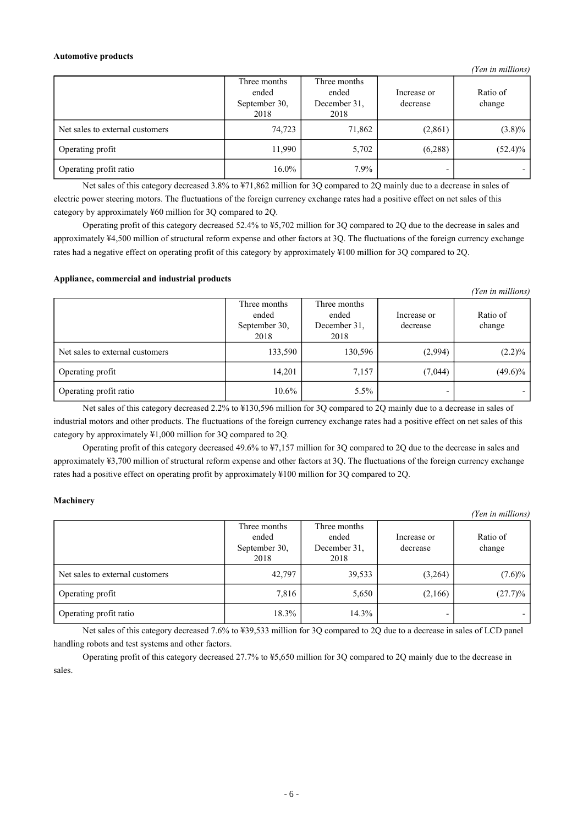#### **Automotive products**

*(Yen in millions)*

|                                 | Three months<br>ended<br>September 30,<br>2018 | Three months<br>ended<br>December 31,<br>2018 | Increase or<br>decrease | Ratio of<br>change |
|---------------------------------|------------------------------------------------|-----------------------------------------------|-------------------------|--------------------|
| Net sales to external customers | 74,723                                         | 71,862                                        | (2,861)                 | $(3.8)\%$          |
| Operating profit                | 11,990                                         | 5,702                                         | (6,288)                 | $(52.4)\%$         |
| Operating profit ratio          | $16.0\%$                                       | 7.9%                                          | -                       |                    |

Net sales of this category decreased 3.8% to ¥71,862 million for 3Q compared to 2Q mainly due to a decrease in sales of electric power steering motors. The fluctuations of the foreign currency exchange rates had a positive effect on net sales of this category by approximately ¥60 million for 3Q compared to 2Q.

Operating profit of this category decreased 52.4% to ¥5,702 million for 3Q compared to 2Q due to the decrease in sales and approximately ¥4,500 million of structural reform expense and other factors at 3Q. The fluctuations of the foreign currency exchange rates had a negative effect on operating profit of this category by approximately ¥100 million for 3Q compared to 2Q.

### **Appliance, commercial and industrial products**

|                                 |                                                |                                               |                         | (Yen in millions)  |
|---------------------------------|------------------------------------------------|-----------------------------------------------|-------------------------|--------------------|
|                                 | Three months<br>ended<br>September 30,<br>2018 | Three months<br>ended<br>December 31,<br>2018 | Increase or<br>decrease | Ratio of<br>change |
| Net sales to external customers | 133,590                                        | 130,596                                       | (2,994)                 | $(2.2)\%$          |
| Operating profit                | 14,201                                         | 7,157                                         | (7,044)                 | $(49.6)\%$         |
| Operating profit ratio          | $10.6\%$                                       | $5.5\%$                                       | -                       |                    |

Net sales of this category decreased 2.2% to ¥130,596 million for 3Q compared to 2Q mainly due to a decrease in sales of industrial motors and other products. The fluctuations of the foreign currency exchange rates had a positive effect on net sales of this category by approximately ¥1,000 million for 3Q compared to 2Q.

Operating profit of this category decreased 49.6% to ¥7,157 million for 3Q compared to 2Q due to the decrease in sales and approximately ¥3,700 million of structural reform expense and other factors at 3Q. The fluctuations of the foreign currency exchange rates had a positive effect on operating profit by approximately ¥100 million for 3Q compared to 2Q.

### **Machinery**

|                                 |                                                |                                               |                         | (Yen in millions)  |
|---------------------------------|------------------------------------------------|-----------------------------------------------|-------------------------|--------------------|
|                                 | Three months<br>ended<br>September 30,<br>2018 | Three months<br>ended<br>December 31.<br>2018 | Increase or<br>decrease | Ratio of<br>change |
| Net sales to external customers | 42,797                                         | 39,533                                        | (3,264)                 | $(7.6)\%$          |
| Operating profit                | 7,816                                          | 5,650                                         | (2,166)                 | $(27.7)\%$         |
| Operating profit ratio          | 18.3%                                          | 14.3%                                         |                         |                    |

Net sales of this category decreased 7.6% to ¥39,533 million for 3Q compared to 2Q due to a decrease in sales of LCD panel handling robots and test systems and other factors.

Operating profit of this category decreased 27.7% to ¥5,650 million for 3Q compared to 2Q mainly due to the decrease in sales.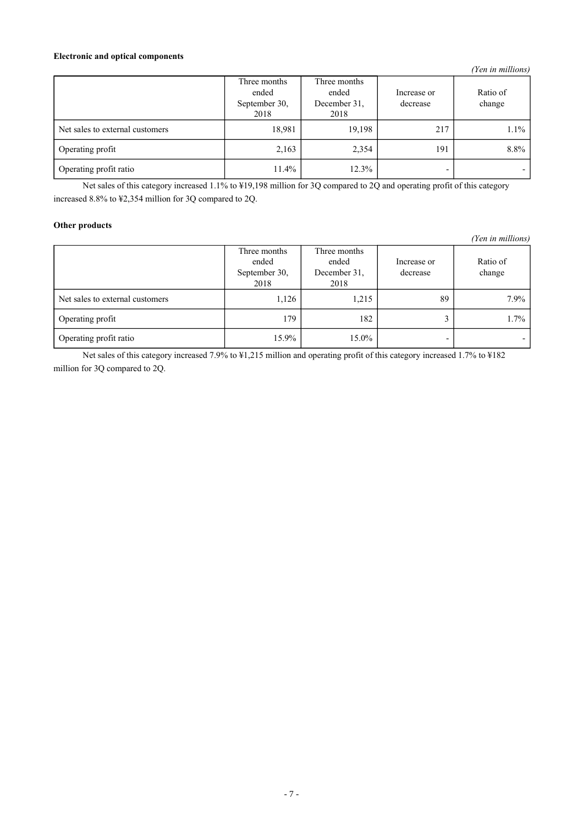### **Electronic and optical components**

|                                 | Three months<br>ended<br>September 30,<br>2018 | Three months<br>ended<br>December 31,<br>2018 | Increase or<br>decrease | Ratio of<br>change |
|---------------------------------|------------------------------------------------|-----------------------------------------------|-------------------------|--------------------|
| Net sales to external customers | 18,981                                         | 19,198                                        | 217                     | $1.1\%$            |
| Operating profit                | 2,163                                          | 2,354                                         | 191                     | 8.8%               |
| Operating profit ratio          | 11.4%                                          | 12.3%                                         |                         |                    |

Net sales of this category increased 1.1% to ¥19,198 million for 3Q compared to 2Q and operating profit of this category increased 8.8% to ¥2,354 million for 3Q compared to 2Q.

### **Other products**

*(Yen in millions)*

|                                 | Three months<br>ended<br>September 30,<br>2018 | Three months<br>ended<br>December 31,<br>2018 | Increase or<br>decrease | Ratio of<br>change |
|---------------------------------|------------------------------------------------|-----------------------------------------------|-------------------------|--------------------|
| Net sales to external customers | 1,126                                          | 1,215                                         | 89                      | $7.9\%$            |
| Operating profit                | 179                                            | 182                                           |                         | 1.7%               |
| Operating profit ratio          | 15.9%                                          | 15.0%                                         |                         |                    |

Net sales of this category increased 7.9% to ¥1,215 million and operating profit of this category increased 1.7% to ¥182 million for 3Q compared to 2Q.

*(Yen in millions)*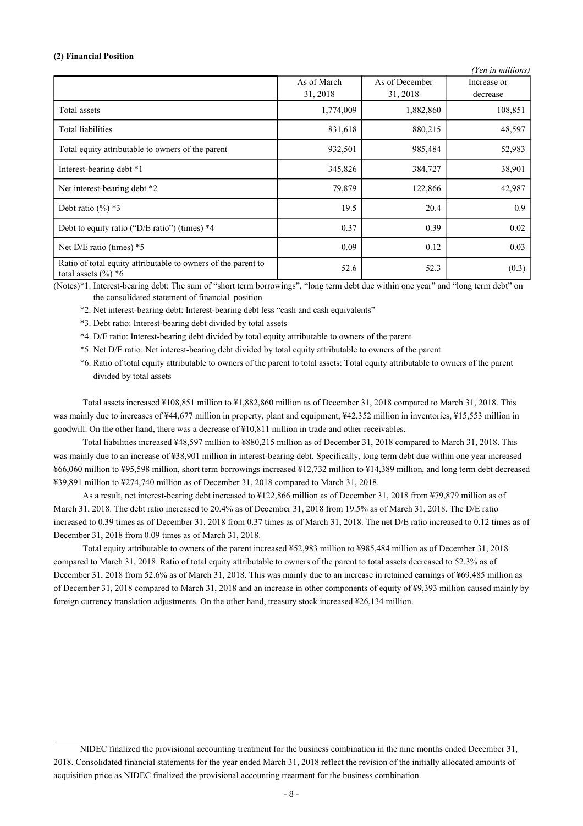#### **(2) Financial Position**

|                                                                                         |                         |                            | (Yen in millions)       |
|-----------------------------------------------------------------------------------------|-------------------------|----------------------------|-------------------------|
|                                                                                         | As of March<br>31, 2018 | As of December<br>31, 2018 | Increase or<br>decrease |
| Total assets                                                                            | 1,774,009               | 1,882,860                  | 108,851                 |
| Total liabilities                                                                       | 831,618                 | 880,215                    | 48,597                  |
| Total equity attributable to owners of the parent                                       | 932,501                 | 985,484                    | 52,983                  |
| Interest-bearing debt *1                                                                | 345,826                 | 384,727                    | 38,901                  |
| Net interest-bearing debt *2                                                            | 79,879                  | 122,866                    | 42,987                  |
| Debt ratio $(\frac{6}{6})$ *3                                                           | 19.5                    | 20.4                       | 0.9                     |
| Debt to equity ratio ("D/E ratio") (times) $*4$                                         | 0.37                    | 0.39                       | 0.02                    |
| Net $D/E$ ratio (times) $*5$                                                            | 0.09                    | 0.12                       | 0.03                    |
| Ratio of total equity attributable to owners of the parent to<br>total assets $(\%)^*6$ | 52.6                    | 52.3                       | (0.3)                   |

(Notes)\*1. Interest-bearing debt: The sum of "short term borrowings", "long term debt due within one year" and "long term debt" on the consolidated statement of financial position

- \*2. Net interest-bearing debt: Interest-bearing debt less "cash and cash equivalents"
- \*3. Debt ratio: Interest-bearing debt divided by total assets
- \*4. D/E ratio: Interest-bearing debt divided by total equity attributable to owners of the parent
- \*5. Net D/E ratio: Net interest-bearing debt divided by total equity attributable to owners of the parent

\*6. Ratio of total equity attributable to owners of the parent to total assets: Total equity attributable to owners of the parent divided by total assets

Total assets increased ¥108,851 million to ¥1,882,860 million as of December 31, 2018 compared to March 31, 2018. This was mainly due to increases of ¥44,677 million in property, plant and equipment, ¥42,352 million in inventories, ¥15,553 million in goodwill. On the other hand, there was a decrease of ¥10,811 million in trade and other receivables.

Total liabilities increased ¥48,597 million to ¥880,215 million as of December 31, 2018 compared to March 31, 2018. This was mainly due to an increase of ¥38,901 million in interest-bearing debt. Specifically, long term debt due within one year increased ¥66,060 million to ¥95,598 million, short term borrowings increased ¥12,732 million to ¥14,389 million, and long term debt decreased ¥39,891 million to ¥274,740 million as of December 31, 2018 compared to March 31, 2018.

As a result, net interest-bearing debt increased to ¥122,866 million as of December 31, 2018 from ¥79,879 million as of March 31, 2018. The debt ratio increased to 20.4% as of December 31, 2018 from 19.5% as of March 31, 2018. The D/E ratio increased to 0.39 times as of December 31, 2018 from 0.37 times as of March 31, 2018. The net D/E ratio increased to 0.12 times as of December 31, 2018 from 0.09 times as of March 31, 2018.

Total equity attributable to owners of the parent increased ¥52,983 million to ¥985,484 million as of December 31, 2018 compared to March 31, 2018. Ratio of total equity attributable to owners of the parent to total assets decreased to 52.3% as of December 31, 2018 from 52.6% as of March 31, 2018. This was mainly due to an increase in retained earnings of ¥69,485 million as of December 31, 2018 compared to March 31, 2018 and an increase in other components of equity of ¥9,393 million caused mainly by foreign currency translation adjustments. On the other hand, treasury stock increased ¥26,134 million.

NIDEC finalized the provisional accounting treatment for the business combination in the nine months ended December 31, 2018. Consolidated financial statements for the year ended March 31, 2018 reflect the revision of the initially allocated amounts of acquisition price as NIDEC finalized the provisional accounting treatment for the business combination.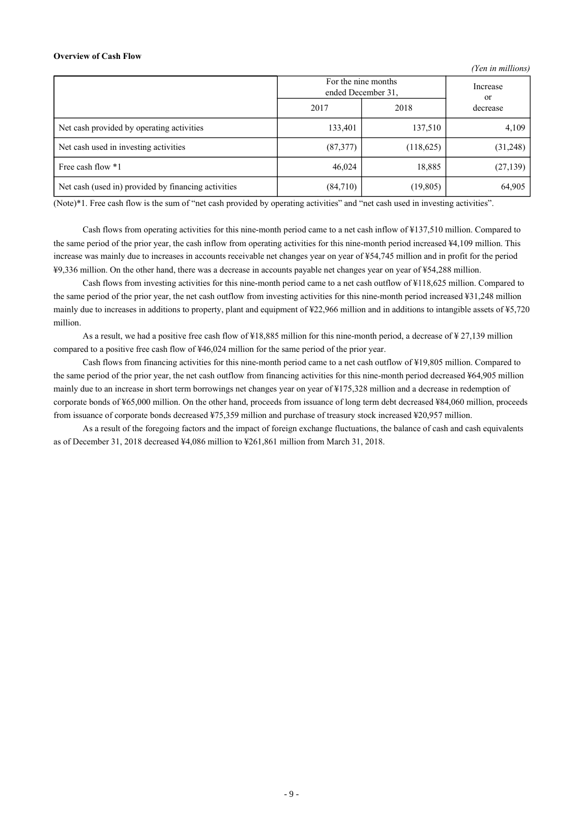#### **Overview of Cash Flow**

|                                                     |                                           |           | Ten ur munonoj |  |
|-----------------------------------------------------|-------------------------------------------|-----------|----------------|--|
|                                                     | For the nine months<br>ended December 31, |           | Increase<br>or |  |
|                                                     | 2017                                      | 2018      | decrease       |  |
| Net cash provided by operating activities           | 133,401                                   | 137,510   | 4,109          |  |
| Net cash used in investing activities               | (87,377)                                  | (118,625) | (31,248)       |  |
| Free cash flow *1                                   | 46,024                                    | 18,885    | (27, 139)      |  |
| Net cash (used in) provided by financing activities | (84,710)                                  | (19, 805) | 64,905         |  |

*(Yen in millions)*

(Note)\*1. Free cash flow is the sum of "net cash provided by operating activities" and "net cash used in investing activities".

Cash flows from operating activities for this nine-month period came to a net cash inflow of ¥137,510 million. Compared to the same period of the prior year, the cash inflow from operating activities for this nine-month period increased ¥4,109 million. This increase was mainly due to increases in accounts receivable net changes year on year of ¥54,745 million and in profit for the period ¥9,336 million. On the other hand, there was a decrease in accounts payable net changes year on year of ¥54,288 million.

Cash flows from investing activities for this nine-month period came to a net cash outflow of ¥118,625 million. Compared to the same period of the prior year, the net cash outflow from investing activities for this nine-month period increased ¥31,248 million mainly due to increases in additions to property, plant and equipment of ¥22,966 million and in additions to intangible assets of ¥5,720 million.

As a result, we had a positive free cash flow of ¥18,885 million for this nine-month period, a decrease of ¥ 27,139 million compared to a positive free cash flow of ¥46,024 million for the same period of the prior year.

Cash flows from financing activities for this nine-month period came to a net cash outflow of ¥19,805 million. Compared to the same period of the prior year, the net cash outflow from financing activities for this nine-month period decreased ¥64,905 million mainly due to an increase in short term borrowings net changes year on year of ¥175,328 million and a decrease in redemption of corporate bonds of ¥65,000 million. On the other hand, proceeds from issuance of long term debt decreased ¥84,060 million, proceeds from issuance of corporate bonds decreased ¥75,359 million and purchase of treasury stock increased ¥20,957 million.

As a result of the foregoing factors and the impact of foreign exchange fluctuations, the balance of cash and cash equivalents as of December 31, 2018 decreased ¥4,086 million to ¥261,861 million from March 31, 2018.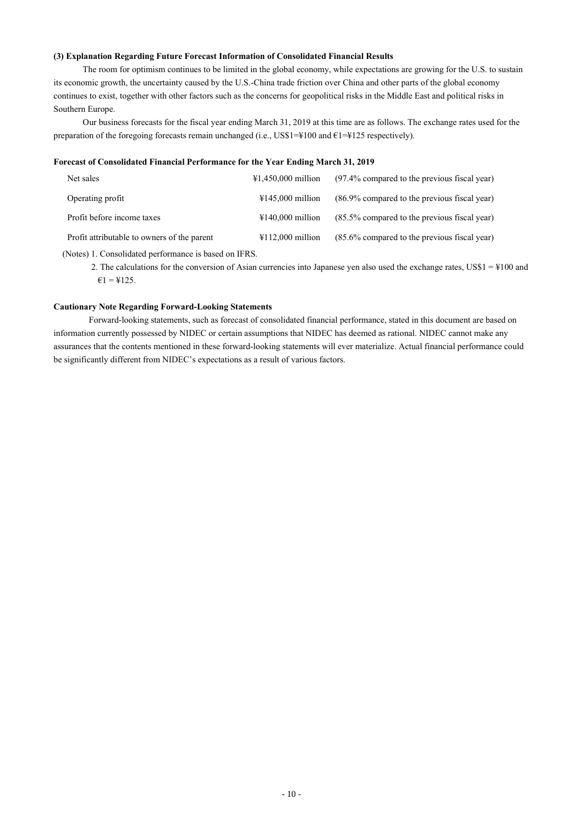### **(3) Explanation Regarding Future Forecast Information of Consolidated Financial Results**

The room for optimism continues to be limited in the global economy, while expectations are growing for the U.S. to sustain its economic growth, the uncertainty caused by the U.S.-China trade friction over China and other parts of the global economy continues to exist, together with other factors such as the concerns for geopolitical risks in the Middle East and political risks in Southern Europe.

Our business forecasts for the fiscal year ending March 31, 2019 at this time are as follows. The exchange rates used for the preparation of the foregoing forecasts remain unchanged (i.e., US\$1=¥100 and €1=¥125 respectively).

### **Forecast of Consolidated Financial Performance for the Year Ending March 31, 2019**

| Net sales                                   | $\text{\#1,450,000}$ million          | $(97.4\%$ compared to the previous fiscal year) |
|---------------------------------------------|---------------------------------------|-------------------------------------------------|
| Operating profit                            | $4145,000$ million                    | $(86.9\%$ compared to the previous fiscal year) |
| Profit before income taxes                  | $\text{\textsterling}140,000$ million | $(85.5\%$ compared to the previous fiscal year) |
| Profit attributable to owners of the parent | $\text{\textsterling}112,000$ million | $(85.6\%$ compared to the previous fiscal year) |

(Notes) 1. Consolidated performance is based on IFRS.

2. The calculations for the conversion of Asian currencies into Japanese yen also used the exchange rates,  $USS1 = 4100$  and  $€1 = $125.$ 

### **Cautionary Note Regarding Forward-Looking Statements**

Forward-looking statements, such as forecast of consolidated financial performance, stated in this document are based on information currently possessed by NIDEC or certain assumptions that NIDEC has deemed as rational. NIDEC cannot make any assurances that the contents mentioned in these forward-looking statements will ever materialize. Actual financial performance could be significantly different from NIDEC's expectations as a result of various factors.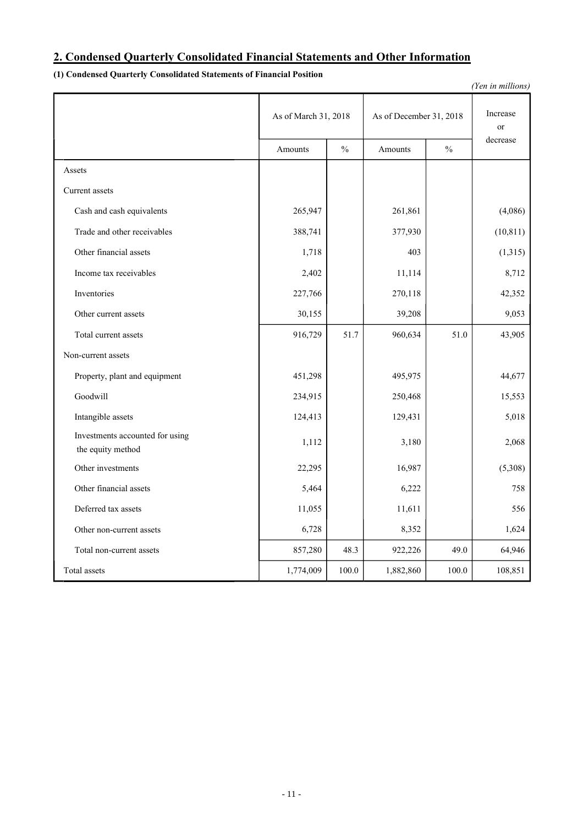## **2. Condensed Quarterly Consolidated Financial Statements and Other Information**

## **(1) Condensed Quarterly Consolidated Statements of Financial Position**

| (Yen in millions)                                    |                                                 |               |           |                |           |  |
|------------------------------------------------------|-------------------------------------------------|---------------|-----------|----------------|-----------|--|
|                                                      | As of December 31, 2018<br>As of March 31, 2018 |               |           | Increase<br>or |           |  |
|                                                      | Amounts                                         | $\frac{0}{0}$ | Amounts   | $\frac{0}{0}$  | decrease  |  |
| Assets                                               |                                                 |               |           |                |           |  |
| Current assets                                       |                                                 |               |           |                |           |  |
| Cash and cash equivalents                            | 265,947                                         |               | 261,861   |                | (4,086)   |  |
| Trade and other receivables                          | 388,741                                         |               | 377,930   |                | (10, 811) |  |
| Other financial assets                               | 1,718                                           |               | 403       |                | (1,315)   |  |
| Income tax receivables                               | 2,402                                           |               | 11,114    |                | 8,712     |  |
| Inventories                                          | 227,766                                         |               | 270,118   |                | 42,352    |  |
| Other current assets                                 | 30,155                                          |               | 39,208    |                | 9,053     |  |
| Total current assets                                 | 916,729                                         | 51.7          | 960,634   | 51.0           | 43,905    |  |
| Non-current assets                                   |                                                 |               |           |                |           |  |
| Property, plant and equipment                        | 451,298                                         |               | 495,975   |                | 44,677    |  |
| Goodwill                                             | 234,915                                         |               | 250,468   |                | 15,553    |  |
| Intangible assets                                    | 124,413                                         |               | 129,431   |                | 5,018     |  |
| Investments accounted for using<br>the equity method | 1,112                                           |               | 3,180     |                | 2,068     |  |
| Other investments                                    | 22,295                                          |               | 16,987    |                | (5,308)   |  |
| Other financial assets                               | 5,464                                           |               | 6,222     |                | 758       |  |
| Deferred tax assets                                  | 11,055                                          |               | 11,611    |                | 556       |  |
| Other non-current assets                             | 6,728                                           |               | 8,352     |                | 1,624     |  |
| Total non-current assets                             | 857,280                                         | 48.3          | 922,226   | 49.0           | 64,946    |  |
| Total assets                                         | 1,774,009                                       | $100.0\,$     | 1,882,860 | 100.0          | 108,851   |  |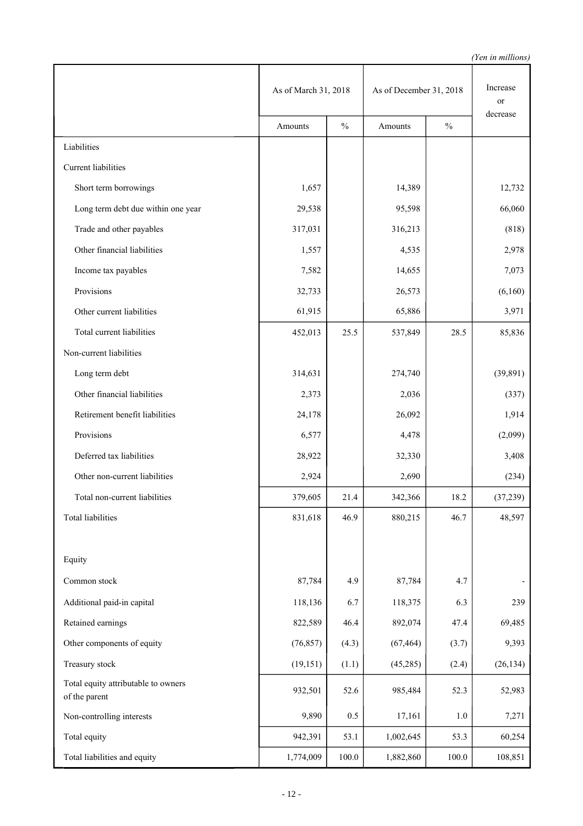|                                                      | As of March 31, 2018 |               | As of December 31, 2018 |               | Increase<br>or |
|------------------------------------------------------|----------------------|---------------|-------------------------|---------------|----------------|
|                                                      | Amounts              | $\frac{0}{0}$ | Amounts                 | $\frac{0}{0}$ | decrease       |
| Liabilities                                          |                      |               |                         |               |                |
| Current liabilities                                  |                      |               |                         |               |                |
| Short term borrowings                                | 1,657                |               | 14,389                  |               | 12,732         |
| Long term debt due within one year                   | 29,538               |               | 95,598                  |               | 66,060         |
| Trade and other payables                             | 317,031              |               | 316,213                 |               | (818)          |
| Other financial liabilities                          | 1,557                |               | 4,535                   |               | 2,978          |
| Income tax payables                                  | 7,582                |               | 14,655                  |               | 7,073          |
| Provisions                                           | 32,733               |               | 26,573                  |               | (6,160)        |
| Other current liabilities                            | 61,915               |               | 65,886                  |               | 3,971          |
| Total current liabilities                            | 452,013              | 25.5          | 537,849                 | 28.5          | 85,836         |
| Non-current liabilities                              |                      |               |                         |               |                |
| Long term debt                                       | 314,631              |               | 274,740                 |               | (39, 891)      |
| Other financial liabilities                          | 2,373                |               | 2,036                   |               | (337)          |
| Retirement benefit liabilities                       | 24,178               |               | 26,092                  |               | 1,914          |
| Provisions                                           | 6,577                |               | 4,478                   |               | (2,099)        |
| Deferred tax liabilities                             | 28,922               |               | 32,330                  |               | 3,408          |
| Other non-current liabilities                        | 2,924                |               | 2,690                   |               | (234)          |
| Total non-current liabilities                        | 379,605              | 21.4          | 342,366                 | 18.2          | (37,239)       |
| <b>Total liabilities</b>                             | 831,618              | 46.9          | 880,215                 | 46.7          | 48,597         |
|                                                      |                      |               |                         |               |                |
| Equity                                               |                      |               |                         |               |                |
| Common stock                                         | 87,784               | 4.9           | 87,784                  | 4.7           |                |
| Additional paid-in capital                           | 118,136              | 6.7           | 118,375                 | 6.3           | 239            |
| Retained earnings                                    | 822,589              | 46.4          | 892,074                 | 47.4          | 69,485         |
| Other components of equity                           | (76, 857)            | (4.3)         | (67, 464)               | (3.7)         | 9,393          |
| Treasury stock                                       | (19, 151)            | (1.1)         | (45,285)                | (2.4)         | (26, 134)      |
| Total equity attributable to owners<br>of the parent | 932,501              | 52.6          | 985,484                 | 52.3          | 52,983         |
| Non-controlling interests                            | 9,890                | 0.5           | 17,161                  | $1.0\,$       | 7,271          |
| Total equity                                         | 942,391              | 53.1          | 1,002,645               | 53.3          | 60,254         |
| Total liabilities and equity                         | 1,774,009            | 100.0         | 1,882,860               | 100.0         | 108,851        |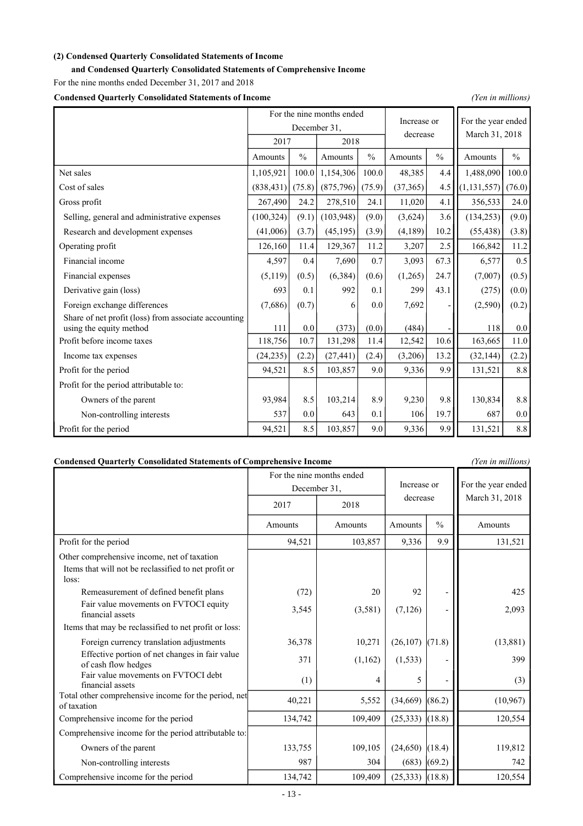### **(2) Condensed Quarterly Consolidated Statements of Income**

**and Condensed Quarterly Consolidated Statements of Comprehensive Income**

For the nine months ended December 31, 2017 and 2018

**Condensed Quarterly Consolidated Statements of Income** *(Yen in millions)*

|                                                                                 | For the nine months ended<br>Increase or |               |            |               |           | For the year ended |                |               |
|---------------------------------------------------------------------------------|------------------------------------------|---------------|------------|---------------|-----------|--------------------|----------------|---------------|
|                                                                                 | December 31.                             |               |            |               | decrease  |                    |                |               |
|                                                                                 | 2017                                     |               |            | 2018          |           |                    | March 31, 2018 |               |
|                                                                                 | Amounts                                  | $\frac{0}{0}$ | Amounts    | $\frac{0}{0}$ | Amounts   | $\frac{0}{0}$      | Amounts        | $\frac{0}{0}$ |
| Net sales                                                                       | 1,105,921                                | 100.0         | 1,154,306  | 100.0         | 48,385    | 4.4                | 1,488,090      | 100.0         |
| Cost of sales                                                                   | (838, 431)                               | (75.8)        | (875, 796) | (75.9)        | (37, 365) | 4.5                | (1, 131, 557)  | (76.0)        |
| Gross profit                                                                    | 267,490                                  | 24.2          | 278,510    | 24.1          | 11,020    | 4.1                | 356,533        | 24.0          |
| Selling, general and administrative expenses                                    | (100, 324)                               | (9.1)         | (103, 948) | (9.0)         | (3,624)   | 3.6                | (134, 253)     | (9.0)         |
| Research and development expenses                                               | (41,006)                                 | (3.7)         | (45, 195)  | (3.9)         | (4,189)   | 10.2               | (55, 438)      | (3.8)         |
| Operating profit                                                                | 126,160                                  | 11.4          | 129,367    | 11.2          | 3,207     | 2.5                | 166,842        | 11.2          |
| Financial income                                                                | 4,597                                    | 0.4           | 7,690      | 0.7           | 3,093     | 67.3               | 6,577          | 0.5           |
| Financial expenses                                                              | (5,119)                                  | (0.5)         | (6, 384)   | (0.6)         | (1,265)   | 24.7               | (7,007)        | (0.5)         |
| Derivative gain (loss)                                                          | 693                                      | 0.1           | 992        | 0.1           | 299       | 43.1               | (275)          | (0.0)         |
| Foreign exchange differences                                                    | (7,686)                                  | (0.7)         | 6          | 0.0           | 7,692     |                    | (2,590)        | (0.2)         |
| Share of net profit (loss) from associate accounting<br>using the equity method | 111                                      | 0.0           | (373)      | (0.0)         | (484)     |                    | 118            | 0.0           |
| Profit before income taxes                                                      | 118,756                                  | 10.7          | 131,298    | 11.4          | 12,542    | 10.6               | 163,665        | 11.0          |
| Income tax expenses                                                             | (24, 235)                                | (2.2)         | (27, 441)  | (2.4)         | (3,206)   | 13.2               | (32, 144)      | (2.2)         |
| Profit for the period                                                           | 94,521                                   | 8.5           | 103,857    | 9.0           | 9,336     | 9.9                | 131,521        | 8.8           |
| Profit for the period attributable to:                                          |                                          |               |            |               |           |                    |                |               |
| Owners of the parent                                                            | 93,984                                   | 8.5           | 103,214    | 8.9           | 9,230     | 9.8                | 130,834        | 8.8           |
| Non-controlling interests                                                       | 537                                      | 0.0           | 643        | 0.1           | 106       | 19.7               | 687            | 0.0           |
| Profit for the period                                                           | 94,521                                   | 8.5           | 103,857    | 9.0           | 9,336     | 9.9                | 131,521        | 8.8           |

### **Condensed Quarterly Consolidated Statements of Comprehensive Income** *(Yen in millions)*

|                                                                       | For the nine months ended |              | Increase or         |               | For the year ended |  |
|-----------------------------------------------------------------------|---------------------------|--------------|---------------------|---------------|--------------------|--|
|                                                                       |                           | December 31, | decrease            |               | March 31, 2018     |  |
|                                                                       | 2017                      | 2018         |                     |               |                    |  |
|                                                                       | Amounts                   | Amounts      | Amounts             | $\frac{0}{0}$ | Amounts            |  |
| Profit for the period                                                 | 94,521                    | 103,857      | 9,336               | 9.9           | 131,521            |  |
| Other comprehensive income, net of taxation                           |                           |              |                     |               |                    |  |
| Items that will not be reclassified to net profit or<br>loss:         |                           |              |                     |               |                    |  |
| Remeasurement of defined benefit plans                                | (72)                      | 20           | 92                  |               | 425                |  |
| Fair value movements on FVTOCI equity<br>financial assets             | 3,545                     | (3,581)      | (7,126)             |               | 2,093              |  |
| Items that may be reclassified to net profit or loss:                 |                           |              |                     |               |                    |  |
| Foreign currency translation adjustments                              | 36,378                    | 10,271       | (26, 107)           | (71.8)        | (13, 881)          |  |
| Effective portion of net changes in fair value<br>of cash flow hedges | 371                       | (1,162)      | (1, 533)            |               | 399                |  |
| Fair value movements on FVTOCI debt<br>financial assets               | (1)                       | 4            | 5                   |               | (3)                |  |
| Total other comprehensive income for the period, net<br>of taxation   | 40,221                    | 5,552        | (34, 669)           | (86.2)        | (10, 967)          |  |
| Comprehensive income for the period                                   | 134,742                   | 109,409      | (25, 333)           | (18.8)        | 120,554            |  |
| Comprehensive income for the period attributable to:                  |                           |              |                     |               |                    |  |
| Owners of the parent                                                  | 133,755                   | 109,105      | $(24,650)$ (18.4)   |               | 119,812            |  |
| Non-controlling interests                                             | 987                       | 304          | $(683)$ (69.2)      |               | 742                |  |
| Comprehensive income for the period                                   | 134,742                   | 109,409      | $(25,333)$ $(18.8)$ |               | 120,554            |  |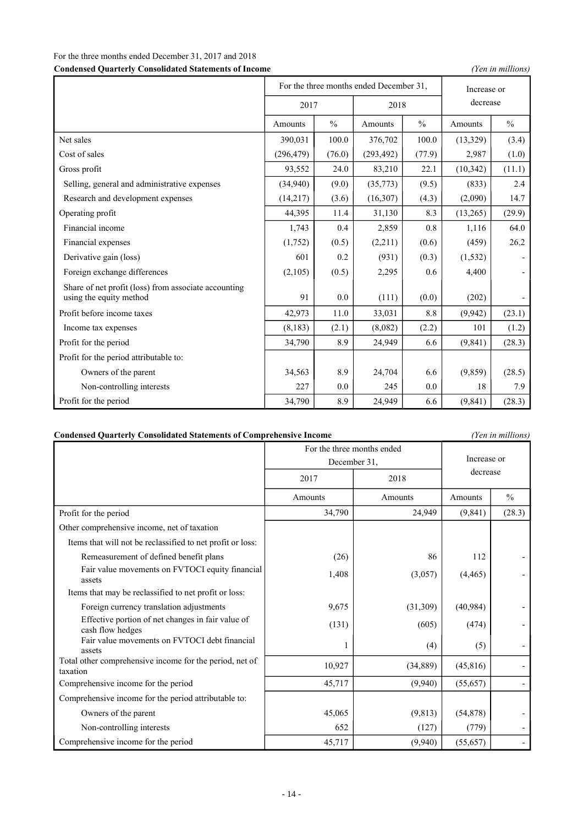## For the three months ended December 31, 2017 and 2018

**Condensed Quarterly Consolidated Statements of Income** *(Yen in millions)*

|                                                                                 | For the three months ended December 31, |               |            |               | Increase or |               |
|---------------------------------------------------------------------------------|-----------------------------------------|---------------|------------|---------------|-------------|---------------|
|                                                                                 | 2017                                    |               | 2018       |               | decrease    |               |
|                                                                                 | Amounts                                 | $\frac{0}{0}$ | Amounts    | $\frac{0}{0}$ | Amounts     | $\frac{0}{0}$ |
| Net sales                                                                       | 390,031                                 | 100.0         | 376,702    | 100.0         | (13,329)    | (3.4)         |
| Cost of sales                                                                   | (296, 479)                              | (76.0)        | (293, 492) | (77.9)        | 2,987       | (1.0)         |
| Gross profit                                                                    | 93,552                                  | 24.0          | 83,210     | 22.1          | (10, 342)   | (11.1)        |
| Selling, general and administrative expenses                                    | (34,940)                                | (9.0)         | (35,773)   | (9.5)         | (833)       | 2.4           |
| Research and development expenses                                               | (14,217)                                | (3.6)         | (16, 307)  | (4.3)         | (2,090)     | 14.7          |
| Operating profit                                                                | 44,395                                  | 11.4          | 31,130     | 8.3           | (13,265)    | (29.9)        |
| Financial income                                                                | 1,743                                   | 0.4           | 2,859      | 0.8           | 1,116       | 64.0          |
| Financial expenses                                                              | (1,752)                                 | (0.5)         | (2,211)    | (0.6)         | (459)       | 26.2          |
| Derivative gain (loss)                                                          | 601                                     | 0.2           | (931)      | (0.3)         | (1, 532)    |               |
| Foreign exchange differences                                                    | (2,105)                                 | (0.5)         | 2,295      | 0.6           | 4,400       |               |
| Share of net profit (loss) from associate accounting<br>using the equity method | 91                                      | 0.0           | (111)      | (0.0)         | (202)       |               |
| Profit before income taxes                                                      | 42,973                                  | 11.0          | 33,031     | 8.8           | (9, 942)    | (23.1)        |
| Income tax expenses                                                             | (8, 183)                                | (2.1)         | (8,082)    | (2.2)         | 101         | (1.2)         |
| Profit for the period                                                           | 34,790                                  | 8.9           | 24,949     | 6.6           | (9, 841)    | (28.3)        |
| Profit for the period attributable to:                                          |                                         |               |            |               |             |               |
| Owners of the parent                                                            | 34,563                                  | 8.9           | 24,704     | 6.6           | (9,859)     | (28.5)        |
| Non-controlling interests                                                       | 227                                     | 0.0           | 245        | 0.0           | 18          | 7.9           |
| Profit for the period                                                           | 34,790                                  | 8.9           | 24,949     | 6.6           | (9, 841)    | (28.3)        |

| <b>Condensed Quarterly Consolidated Statements of Comprehensive Income</b> |  |
|----------------------------------------------------------------------------|--|
|                                                                            |  |

**Condensed Quarterly Consolidated Statements of Comprehensive Income** *(Yen in millions)*

|                                                                       | For the three months ended<br>December 31, | Increase or |           |               |
|-----------------------------------------------------------------------|--------------------------------------------|-------------|-----------|---------------|
|                                                                       | 2017                                       | 2018        | decrease  |               |
|                                                                       | Amounts                                    | Amounts     | Amounts   | $\frac{0}{0}$ |
| Profit for the period                                                 | 34,790                                     | 24,949      | (9,841)   | (28.3)        |
| Other comprehensive income, net of taxation                           |                                            |             |           |               |
| Items that will not be reclassified to net profit or loss:            |                                            |             |           |               |
| Remeasurement of defined benefit plans                                | (26)                                       | 86          | 112       |               |
| Fair value movements on FVTOCI equity financial<br>assets             | 1,408                                      | (3,057)     | (4, 465)  |               |
| Items that may be reclassified to net profit or loss:                 |                                            |             |           |               |
| Foreign currency translation adjustments                              | 9,675                                      | (31,309)    | (40, 984) |               |
| Effective portion of net changes in fair value of<br>cash flow hedges | (131)                                      | (605)       | (474)     |               |
| Fair value movements on FVTOCI debt financial<br>assets               |                                            | (4)         | (5)       |               |
| Total other comprehensive income for the period, net of<br>taxation   | 10,927                                     | (34, 889)   | (45, 816) |               |
| Comprehensive income for the period                                   | 45,717                                     | (9,940)     | (55, 657) |               |
| Comprehensive income for the period attributable to:                  |                                            |             |           |               |
| Owners of the parent                                                  | 45,065                                     | (9, 813)    | (54, 878) |               |
| Non-controlling interests                                             | 652                                        | (127)       | (779)     |               |
| Comprehensive income for the period                                   | 45,717                                     | (9,940)     | (55, 657) |               |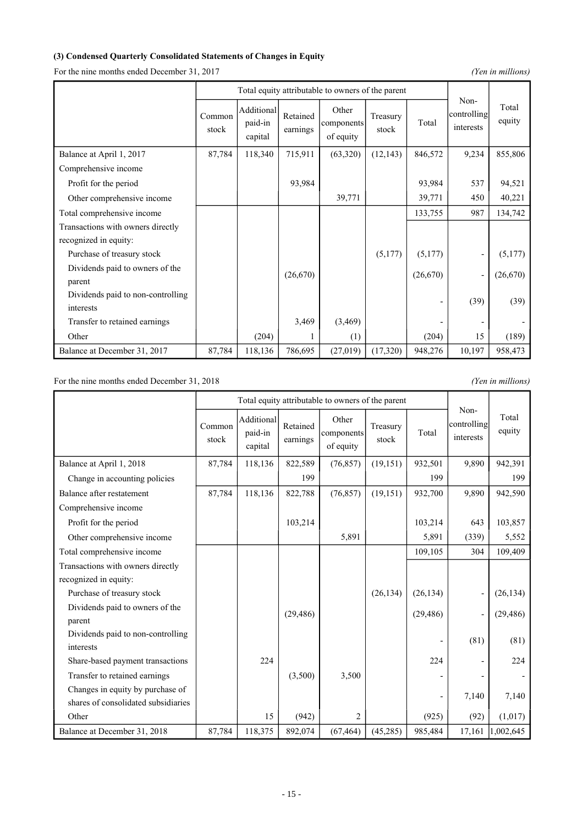### **(3) Condensed Quarterly Consolidated Statements of Changes in Equity**

For the nine months ended December 31, 2017 *(Yen in millions)* 

|                                   |                 | Total equity attributable to owners of the parent |                      |                                  |                   |          |                                  |                 |
|-----------------------------------|-----------------|---------------------------------------------------|----------------------|----------------------------------|-------------------|----------|----------------------------------|-----------------|
|                                   | Common<br>stock | Additional<br>paid-in<br>capital                  | Retained<br>earnings | Other<br>components<br>of equity | Treasury<br>stock | Total    | Non-<br>controlling<br>interests | Total<br>equity |
| Balance at April 1, 2017          | 87,784          | 118,340                                           | 715,911              | (63,320)                         | (12, 143)         | 846,572  | 9,234                            | 855,806         |
| Comprehensive income              |                 |                                                   |                      |                                  |                   |          |                                  |                 |
| Profit for the period             |                 |                                                   | 93,984               |                                  |                   | 93,984   | 537                              | 94,521          |
| Other comprehensive income        |                 |                                                   |                      | 39,771                           |                   | 39,771   | 450                              | 40,221          |
| Total comprehensive income        |                 |                                                   |                      |                                  |                   | 133,755  | 987                              | 134,742         |
| Transactions with owners directly |                 |                                                   |                      |                                  |                   |          |                                  |                 |
| recognized in equity:             |                 |                                                   |                      |                                  |                   |          |                                  |                 |
| Purchase of treasury stock        |                 |                                                   |                      |                                  | (5,177)           | (5,177)  | -                                | (5,177)         |
| Dividends paid to owners of the   |                 |                                                   | (26,670)             |                                  |                   | (26,670) | $\overline{a}$                   | (26,670)        |
| parent                            |                 |                                                   |                      |                                  |                   |          |                                  |                 |
| Dividends paid to non-controlling |                 |                                                   |                      |                                  |                   |          | (39)                             | (39)            |
| interests                         |                 |                                                   |                      |                                  |                   |          |                                  |                 |
| Transfer to retained earnings     |                 |                                                   | 3,469                | (3,469)                          |                   |          |                                  |                 |
| Other                             |                 | (204)                                             |                      | (1)                              |                   | (204)    | 15                               | (189)           |
| Balance at December 31, 2017      | 87,784          | 118,136                                           | 786,695              | (27, 019)                        | (17,320)          | 948,276  | 10,197                           | 958,473         |

For the nine months ended December 31, 2018 *(Yen in millions)* 

|                                     | Total equity attributable to owners of the parent |                                  |                      |                                  |                   |                |                                  |                 |
|-------------------------------------|---------------------------------------------------|----------------------------------|----------------------|----------------------------------|-------------------|----------------|----------------------------------|-----------------|
|                                     | Common<br>stock                                   | Additional<br>paid-in<br>capital | Retained<br>earnings | Other<br>components<br>of equity | Treasury<br>stock | Total          | Non-<br>controlling<br>interests | Total<br>equity |
| Balance at April 1, 2018            | 87,784                                            | 118,136                          | 822,589              | (76, 857)                        | (19, 151)         | 932,501        | 9,890                            | 942,391         |
| Change in accounting policies       |                                                   |                                  | 199                  |                                  |                   | 199            |                                  | 199             |
| Balance after restatement           | 87,784                                            | 118,136                          | 822,788              | (76, 857)                        | (19, 151)         | 932,700        | 9,890                            | 942,590         |
| Comprehensive income                |                                                   |                                  |                      |                                  |                   |                |                                  |                 |
| Profit for the period               |                                                   |                                  | 103,214              |                                  |                   | 103,214        | 643                              | 103,857         |
| Other comprehensive income          |                                                   |                                  |                      | 5,891                            |                   | 5,891          | (339)                            | 5,552           |
| Total comprehensive income          |                                                   |                                  |                      |                                  |                   | 109,105        | 304                              | 109,409         |
| Transactions with owners directly   |                                                   |                                  |                      |                                  |                   |                |                                  |                 |
| recognized in equity:               |                                                   |                                  |                      |                                  |                   |                |                                  |                 |
| Purchase of treasury stock          |                                                   |                                  |                      |                                  | (26, 134)         | (26, 134)      |                                  | (26, 134)       |
| Dividends paid to owners of the     |                                                   |                                  | (29, 486)            |                                  |                   | (29, 486)      |                                  | (29, 486)       |
| parent                              |                                                   |                                  |                      |                                  |                   |                |                                  |                 |
| Dividends paid to non-controlling   |                                                   |                                  |                      |                                  |                   |                | (81)                             | (81)            |
| interests                           |                                                   |                                  |                      |                                  |                   |                |                                  |                 |
| Share-based payment transactions    |                                                   | 224                              |                      |                                  |                   | 224            |                                  | 224             |
| Transfer to retained earnings       |                                                   |                                  | (3,500)              | 3,500                            |                   |                |                                  |                 |
| Changes in equity by purchase of    |                                                   |                                  |                      |                                  |                   | $\overline{a}$ | 7,140                            | 7,140           |
| shares of consolidated subsidiaries |                                                   |                                  |                      |                                  |                   |                |                                  |                 |
| Other                               |                                                   | 15                               | (942)                | $\overline{2}$                   |                   | (925)          | (92)                             | (1,017)         |
| Balance at December 31, 2018        | 87,784                                            | 118,375                          | 892,074              | (67, 464)                        | (45, 285)         | 985,484        | 17,161                           | 1,002,645       |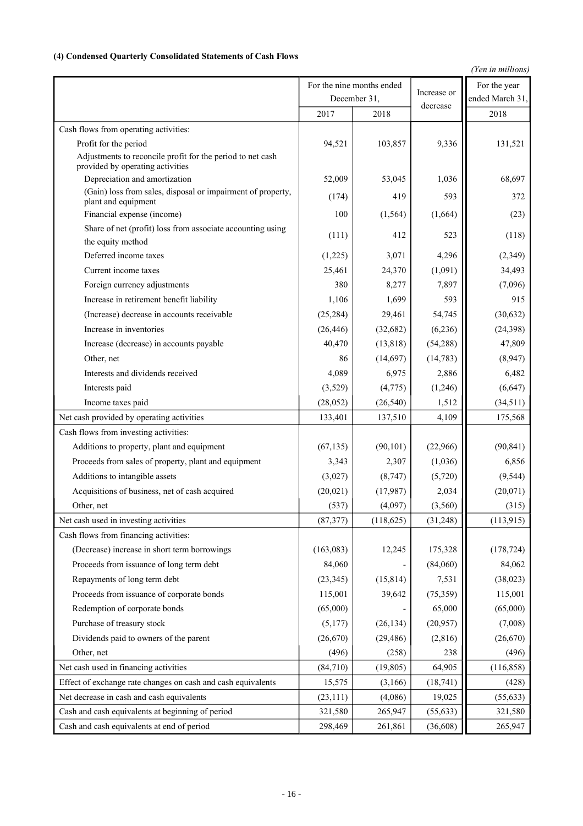### **(4) Condensed Quarterly Consolidated Statements of Cash Flows**

*(Yen in millions)*

|                                                                                              |           | For the nine months ended |             | For the year    |
|----------------------------------------------------------------------------------------------|-----------|---------------------------|-------------|-----------------|
|                                                                                              |           | December 31,              | Increase or | ended March 31, |
|                                                                                              | 2017      | 2018                      | decrease    | 2018            |
| Cash flows from operating activities:                                                        |           |                           |             |                 |
| Profit for the period                                                                        | 94,521    | 103,857                   | 9,336       | 131,521         |
| Adjustments to reconcile profit for the period to net cash                                   |           |                           |             |                 |
| provided by operating activities                                                             |           |                           |             |                 |
| Depreciation and amortization<br>(Gain) loss from sales, disposal or impairment of property, | 52,009    | 53,045                    | 1,036       | 68,697          |
| plant and equipment                                                                          | (174)     | 419                       | 593         | 372             |
| Financial expense (income)                                                                   | 100       | (1, 564)                  | (1,664)     | (23)            |
| Share of net (profit) loss from associate accounting using                                   | (111)     | 412                       | 523         | (118)           |
| the equity method                                                                            |           |                           |             |                 |
| Deferred income taxes                                                                        | (1,225)   | 3,071                     | 4,296       | (2,349)         |
| Current income taxes                                                                         | 25,461    | 24,370                    | (1,091)     | 34,493          |
| Foreign currency adjustments                                                                 | 380       | 8,277                     | 7,897       | (7,096)         |
| Increase in retirement benefit liability                                                     | 1,106     | 1,699                     | 593         | 915             |
| (Increase) decrease in accounts receivable                                                   | (25, 284) | 29,461                    | 54,745      | (30,632)        |
| Increase in inventories                                                                      | (26, 446) | (32,682)                  | (6,236)     | (24, 398)       |
| Increase (decrease) in accounts payable                                                      | 40,470    | (13, 818)                 | (54, 288)   | 47,809          |
| Other, net                                                                                   | 86        | (14,697)                  | (14, 783)   | (8,947)         |
| Interests and dividends received                                                             | 4,089     | 6,975                     | 2,886       | 6,482           |
| Interests paid                                                                               | (3,529)   | (4,775)                   | (1,246)     | (6,647)         |
| Income taxes paid                                                                            | (28, 052) | (26, 540)                 | 1,512       | (34,511)        |
| Net cash provided by operating activities                                                    | 133,401   | 137,510                   | 4,109       | 175,568         |
| Cash flows from investing activities:                                                        |           |                           |             |                 |
| Additions to property, plant and equipment                                                   | (67, 135) | (90, 101)                 | (22,966)    | (90, 841)       |
| Proceeds from sales of property, plant and equipment                                         | 3,343     | 2,307                     | (1,036)     | 6,856           |
| Additions to intangible assets                                                               | (3,027)   | (8,747)                   | (5,720)     | (9, 544)        |
| Acquisitions of business, net of cash acquired                                               | (20, 021) | (17,987)                  | 2,034       | (20,071)        |
| Other, net                                                                                   | (537)     | (4,097)                   | (3,560)     | (315)           |
| Net cash used in investing activities                                                        | (87, 377) | (118, 625)                | (31, 248)   | (113, 915)      |
| Cash flows from financing activities:                                                        |           |                           |             |                 |
| (Decrease) increase in short term borrowings                                                 | (163,083) | 12,245                    | 175,328     | (178, 724)      |
| Proceeds from issuance of long term debt                                                     | 84,060    |                           | (84,060)    | 84,062          |
| Repayments of long term debt                                                                 | (23, 345) | (15, 814)                 | 7,531       | (38, 023)       |
| Proceeds from issuance of corporate bonds                                                    | 115,001   | 39,642                    | (75, 359)   | 115,001         |
| Redemption of corporate bonds                                                                | (65,000)  |                           | 65,000      | (65,000)        |
| Purchase of treasury stock                                                                   | (5,177)   | (26, 134)                 | (20,957)    | (7,008)         |
| Dividends paid to owners of the parent                                                       | (26,670)  | (29, 486)                 | (2,816)     | (26, 670)       |
| Other, net                                                                                   | (496)     | (258)                     | 238         | (496)           |
| Net cash used in financing activities                                                        | (84,710)  | (19, 805)                 | 64,905      | (116, 858)      |
| Effect of exchange rate changes on cash and cash equivalents                                 | 15,575    | (3,166)                   | (18, 741)   | (428)           |
| Net decrease in cash and cash equivalents                                                    | (23, 111) | (4,086)                   | 19,025      | (55, 633)       |
| Cash and cash equivalents at beginning of period                                             | 321,580   | 265,947                   | (55, 633)   | 321,580         |
| Cash and cash equivalents at end of period                                                   | 298,469   | 261,861                   | (36, 608)   | 265,947         |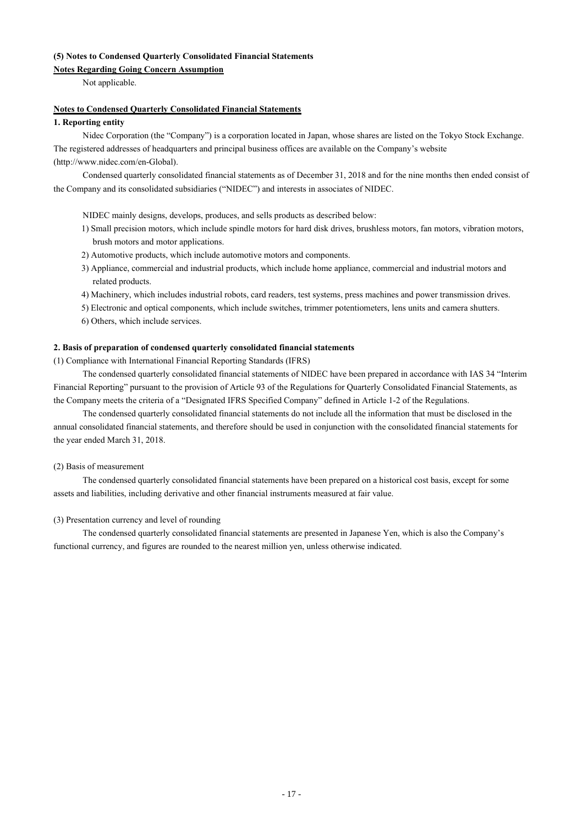### **(5) Notes to Condensed Quarterly Consolidated Financial Statements**

### **Notes Regarding Going Concern Assumption**

Not applicable.

### **Notes to Condensed Quarterly Consolidated Financial Statements**

### **1. Reporting entity**

Nidec Corporation (the "Company") is a corporation located in Japan, whose shares are listed on the Tokyo Stock Exchange. The registered addresses of headquarters and principal business offices are available on the Company's website (http://www.nidec.com/en-Global).

Condensed quarterly consolidated financial statements as of December 31, 2018 and for the nine months then ended consist of the Company and its consolidated subsidiaries ("NIDEC") and interests in associates of NIDEC.

NIDEC mainly designs, develops, produces, and sells products as described below:

- 1) Small precision motors, which include spindle motors for hard disk drives, brushless motors, fan motors, vibration motors, brush motors and motor applications.
- 2) Automotive products, which include automotive motors and components.
- 3) Appliance, commercial and industrial products, which include home appliance, commercial and industrial motors and related products.
- 4) Machinery, which includes industrial robots, card readers, test systems, press machines and power transmission drives.
- 5) Electronic and optical components, which include switches, trimmer potentiometers, lens units and camera shutters.
- 6) Others, which include services.

### **2. Basis of preparation of condensed quarterly consolidated financial statements**

(1) Compliance with International Financial Reporting Standards (IFRS)

The condensed quarterly consolidated financial statements of NIDEC have been prepared in accordance with IAS 34 "Interim Financial Reporting" pursuant to the provision of Article 93 of the Regulations for Quarterly Consolidated Financial Statements, as the Company meets the criteria of a "Designated IFRS Specified Company" defined in Article 1-2 of the Regulations.

The condensed quarterly consolidated financial statements do not include all the information that must be disclosed in the annual consolidated financial statements, and therefore should be used in conjunction with the consolidated financial statements for the year ended March 31, 2018.

### (2) Basis of measurement

The condensed quarterly consolidated financial statements have been prepared on a historical cost basis, except for some assets and liabilities, including derivative and other financial instruments measured at fair value.

### (3) Presentation currency and level of rounding

The condensed quarterly consolidated financial statements are presented in Japanese Yen, which is also the Company's functional currency, and figures are rounded to the nearest million yen, unless otherwise indicated.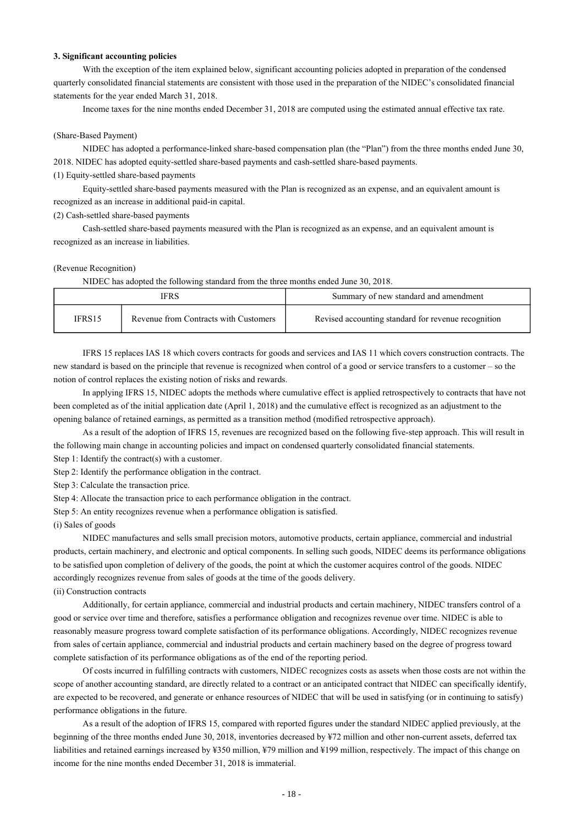#### **3. Significant accounting policies**

With the exception of the item explained below, significant accounting policies adopted in preparation of the condensed quarterly consolidated financial statements are consistent with those used in the preparation of the NIDEC's consolidated financial statements for the year ended March 31, 2018.

Income taxes for the nine months ended December 31, 2018 are computed using the estimated annual effective tax rate.

### (Share-Based Payment)

NIDEC has adopted a performance-linked share-based compensation plan (the "Plan") from the three months ended June 30, 2018. NIDEC has adopted equity-settled share-based payments and cash-settled share-based payments.

(1) Equity-settled share-based payments

Equity-settled share-based payments measured with the Plan is recognized as an expense, and an equivalent amount is recognized as an increase in additional paid-in capital.

#### (2) Cash-settled share-based payments

Cash-settled share-based payments measured with the Plan is recognized as an expense, and an equivalent amount is recognized as an increase in liabilities.

#### (Revenue Recognition)

NIDEC has adopted the following standard from the three months ended June 30, 2018.

|        | IFRS                                  | Summary of new standard and amendment               |
|--------|---------------------------------------|-----------------------------------------------------|
| IFRS15 | Revenue from Contracts with Customers | Revised accounting standard for revenue recognition |

IFRS 15 replaces IAS 18 which covers contracts for goods and services and IAS 11 which covers construction contracts. The new standard is based on the principle that revenue is recognized when control of a good or service transfers to a customer – so the notion of control replaces the existing notion of risks and rewards.

In applying IFRS 15, NIDEC adopts the methods where cumulative effect is applied retrospectively to contracts that have not been completed as of the initial application date (April 1, 2018) and the cumulative effect is recognized as an adjustment to the opening balance of retained earnings, as permitted as a transition method (modified retrospective approach).

As a result of the adoption of IFRS 15, revenues are recognized based on the following five-step approach. This will result in the following main change in accounting policies and impact on condensed quarterly consolidated financial statements.

Step 1: Identify the contract(s) with a customer.

Step 2: Identify the performance obligation in the contract.

Step 3: Calculate the transaction price.

Step 4: Allocate the transaction price to each performance obligation in the contract.

Step 5: An entity recognizes revenue when a performance obligation is satisfied.

(i) Sales of goods

NIDEC manufactures and sells small precision motors, automotive products, certain appliance, commercial and industrial products, certain machinery, and electronic and optical components. In selling such goods, NIDEC deems its performance obligations to be satisfied upon completion of delivery of the goods, the point at which the customer acquires control of the goods. NIDEC accordingly recognizes revenue from sales of goods at the time of the goods delivery.

(ii) Construction contracts

Additionally, for certain appliance, commercial and industrial products and certain machinery, NIDEC transfers control of a good or service over time and therefore, satisfies a performance obligation and recognizes revenue over time. NIDEC is able to reasonably measure progress toward complete satisfaction of its performance obligations. Accordingly, NIDEC recognizes revenue from sales of certain appliance, commercial and industrial products and certain machinery based on the degree of progress toward complete satisfaction of its performance obligations as of the end of the reporting period.

Of costs incurred in fulfilling contracts with customers, NIDEC recognizes costs as assets when those costs are not within the scope of another accounting standard, are directly related to a contract or an anticipated contract that NIDEC can specifically identify, are expected to be recovered, and generate or enhance resources of NIDEC that will be used in satisfying (or in continuing to satisfy) performance obligations in the future.

As a result of the adoption of IFRS 15, compared with reported figures under the standard NIDEC applied previously, at the beginning of the three months ended June 30, 2018, inventories decreased by ¥72 million and other non-current assets, deferred tax liabilities and retained earnings increased by ¥350 million, ¥79 million and ¥199 million, respectively. The impact of this change on income for the nine months ended December 31, 2018 is immaterial.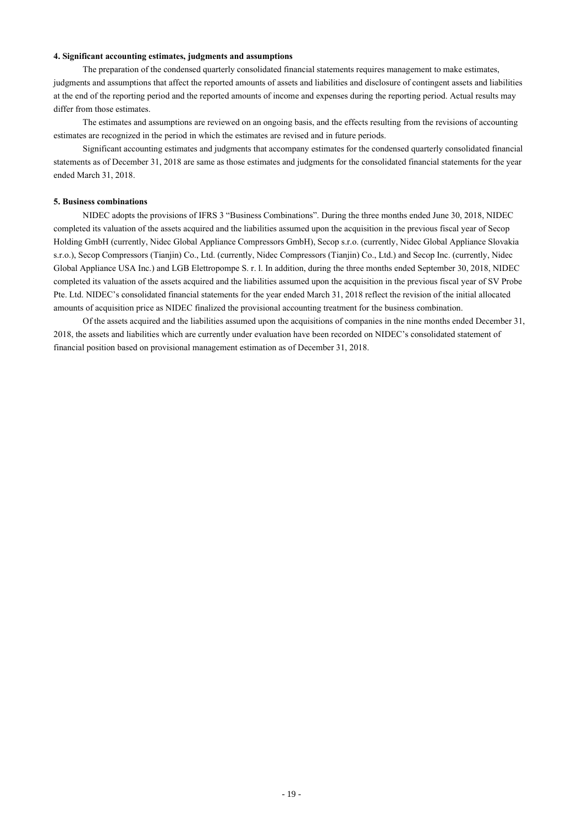### **4. Significant accounting estimates, judgments and assumptions**

The preparation of the condensed quarterly consolidated financial statements requires management to make estimates, judgments and assumptions that affect the reported amounts of assets and liabilities and disclosure of contingent assets and liabilities at the end of the reporting period and the reported amounts of income and expenses during the reporting period. Actual results may differ from those estimates.

The estimates and assumptions are reviewed on an ongoing basis, and the effects resulting from the revisions of accounting estimates are recognized in the period in which the estimates are revised and in future periods.

Significant accounting estimates and judgments that accompany estimates for the condensed quarterly consolidated financial statements as of December 31, 2018 are same as those estimates and judgments for the consolidated financial statements for the year ended March 31, 2018.

#### **5. Business combinations**

NIDEC adopts the provisions of IFRS 3 "Business Combinations". During the three months ended June 30, 2018, NIDEC completed its valuation of the assets acquired and the liabilities assumed upon the acquisition in the previous fiscal year of Secop Holding GmbH (currently, Nidec Global Appliance Compressors GmbH), Secop s.r.o. (currently, Nidec Global Appliance Slovakia s.r.o.), Secop Compressors (Tianjin) Co., Ltd. (currently, Nidec Compressors (Tianjin) Co., Ltd.) and Secop Inc. (currently, Nidec Global Appliance USA Inc.) and LGB Elettropompe S. r. l. In addition, during the three months ended September 30, 2018, NIDEC completed its valuation of the assets acquired and the liabilities assumed upon the acquisition in the previous fiscal year of SV Probe Pte. Ltd. NIDEC's consolidated financial statements for the year ended March 31, 2018 reflect the revision of the initial allocated amounts of acquisition price as NIDEC finalized the provisional accounting treatment for the business combination.

Of the assets acquired and the liabilities assumed upon the acquisitions of companies in the nine months ended December 31, 2018, the assets and liabilities which are currently under evaluation have been recorded on NIDEC's consolidated statement of financial position based on provisional management estimation as of December 31, 2018.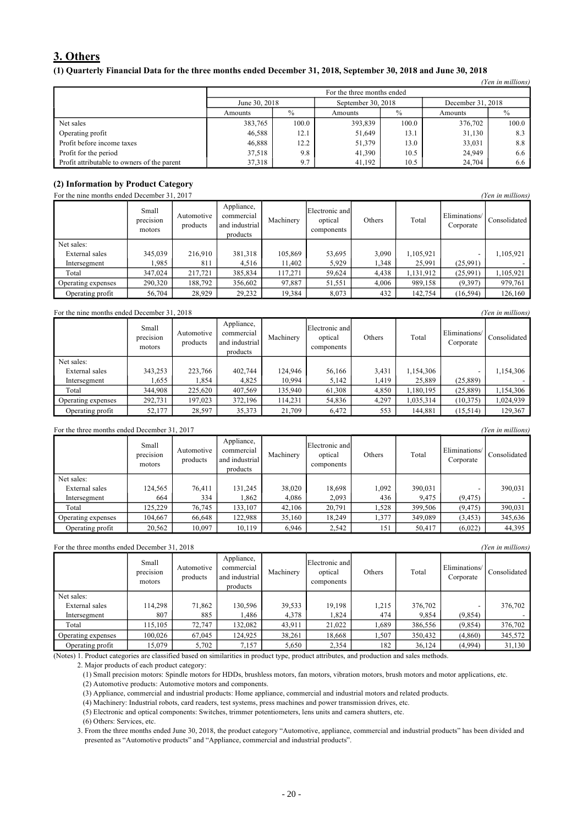## **3. Others**

### (1) Quarterly Financial Data for the three months ended December 31, 2018, September 30, 2018 and June 30, 2018

|                                             |                                    |                                                          |         |       |         | (Yen in millions) |  |  |
|---------------------------------------------|------------------------------------|----------------------------------------------------------|---------|-------|---------|-------------------|--|--|
|                                             | For the three months ended         |                                                          |         |       |         |                   |  |  |
|                                             |                                    | September 30, 2018<br>June 30, 2018<br>December 31, 2018 |         |       |         |                   |  |  |
|                                             | $\%$<br>$\%$<br>Amounts<br>Amounts |                                                          |         |       |         |                   |  |  |
| Net sales                                   | 383,765                            | 100.0                                                    | 393,839 | 100.0 | 376,702 | 100.0             |  |  |
| Operating profit                            | 46,588                             | 12.1                                                     | 51,649  | 13.1  | 31,130  | 8.3               |  |  |
| Profit before income taxes                  | 46,888                             | 12.2                                                     | 51,379  | 13.0  | 33,031  | 8.8               |  |  |
| Profit for the period                       | 37,518                             | 9.8                                                      | 41.390  | 10.5  | 24,949  | 6.6               |  |  |
| Profit attributable to owners of the parent | 37,318                             | 9.7                                                      | 41,192  | 10.5  | 24.704  | 6.6               |  |  |

# **(2) Information by Product Category**

| For the nine months ended December 31, 2017 |                              |                        |                                                        |           |                                         |        |           | (Yen in millions)          |              |
|---------------------------------------------|------------------------------|------------------------|--------------------------------------------------------|-----------|-----------------------------------------|--------|-----------|----------------------------|--------------|
|                                             | Small<br>precision<br>motors | Automotive<br>products | Appliance,<br>commercial<br>and industrial<br>products | Machinery | Electronic and<br>optical<br>components | Others | Total     | Eliminations/<br>Corporate | Consolidated |
| Net sales:                                  |                              |                        |                                                        |           |                                         |        |           |                            |              |
| External sales                              | 345,039                      | 216.910                | 381,318                                                | 105,869   | 53,695                                  | 3,090  | 1,105,921 |                            | 1,105,921    |
| Intersegment                                | .985                         | 811                    | 4.516                                                  | 11,402    | 5,929                                   | .348   | 25,991    | (25,991)                   |              |
| Total                                       | 347,024                      | 217,721                | 385,834                                                | 117,271   | 59,624                                  | 4,438  | 1,131,912 | (25,991)                   | 1,105,921    |
| Operating expenses                          | 290,320                      | 188,792                | 356,602                                                | 97,887    | 51,551                                  | 4.006  | 989,158   | (9,397)                    | 979,761      |
| Operating profit                            | 56,704                       | 28,929                 | 29,232                                                 | 19,384    | 8,073                                   | 432    | 142,754   | (16, 594)                  | 126,160      |

#### For the nine months ended December 31, 2018 *(Yen in millions) (Yen in millions)*

|                    | Small<br>precision<br>motors | Automotive<br>products | Appliance,<br>commercial<br>and industrial<br>products | Machinery | Electronic and<br>optical<br>components | Others | Total     | Eliminations/<br>Corporate | Consolidated |
|--------------------|------------------------------|------------------------|--------------------------------------------------------|-----------|-----------------------------------------|--------|-----------|----------------------------|--------------|
| Net sales:         |                              |                        |                                                        |           |                                         |        |           |                            |              |
| External sales     | 343,253                      | 223.766                | 402.744                                                | 124.946   | 56,166                                  | 3,431  | 1,154,306 |                            | 1,154,306    |
| Intersegment       | .555                         | .854                   | 4,825                                                  | 10,994    | 5,142                                   | .419   | 25,889    | (25,889)                   |              |
| Total              | 344,908                      | 225,620                | 407,569                                                | 135,940   | 61,308                                  | 4,850  | 1,180,195 | (25,889)                   | 1,154,306    |
| Operating expenses | 292,731                      | 197,023                | 372,196                                                | 114,231   | 54,836                                  | 4,297  | 1,035,314 | (10, 375)                  | 1,024,939    |
| Operating profit   | 52,177                       | 28,597                 | 35,373                                                 | 21,709    | 6,472                                   | 553    | 144,881   | (15,514)                   | 129,367      |

#### For the three months ended December 31, 2017 *(Yen in millions)*

|                    | Small<br>precision<br>motors | Automotive<br>products | Appliance,<br>commercial<br>and industrial<br>products | Machinery | Electronic and<br>optical<br>components | Others | Total   | Eliminations/<br>Corporate | Consolidated |
|--------------------|------------------------------|------------------------|--------------------------------------------------------|-----------|-----------------------------------------|--------|---------|----------------------------|--------------|
| Net sales:         |                              |                        |                                                        |           |                                         |        |         |                            |              |
| External sales     | 124,565                      | 76,411                 | 131.245                                                | 38,020    | 18,698                                  | 1,092  | 390,031 |                            | 390,031      |
| Intersegment       | 664                          | 334                    | .862                                                   | 4,086     | 2,093                                   | 436    | 9,475   | (9, 475)                   |              |
| Total              | 125.229                      | 76,745                 | 133,107                                                | 42.106    | 20,791                                  | .528   | 399,506 | (9, 475)                   | 390,031      |
| Operating expenses | 104,667                      | 66,648                 | 122.988                                                | 35,160    | 18,249                                  | 1,377  | 349.089 | (3, 453)                   | 345,636      |
| Operating profit   | 20,562                       | 10,097                 | 10,119                                                 | 6,946     | 2,542                                   | 151    | 50,417  | (6,022)                    | 44,395       |

#### For the three months ended December 31, 2018 *(Yen in millions)* Small precision motors Automotive products Appliance, commercial and industrial products Machinery Electronic and optical components Others | Total Eliminations/ Corporate Consolidated Net sales:<br>External sales External sales 114,298 71,862 130,596 39,533 19,198 1,215 376,702 - 376,702 Intersegment 807 885 1,486 4,378 1,824 474 9,854 (9,854) - Total 115,105 72,747 132,082 43,911 21,022 1,689 386,556 (9,854) 376,702 Operating expenses 100,026 67,045 124,925 38,261 18,668 1,507 350,432 (4,860) 345,572 Operating profit 15,079 5,702 7,157 5,650 2,354 182 36,124 (4,994) 31,130

(Notes) 1. Product categories are classified based on similarities in product type, product attributes, and production and sales methods.

2. Major products of each product category:

(1) Small precision motors: Spindle motors for HDDs, brushless motors, fan motors, vibration motors, brush motors and motor applications, etc.

(2) Automotive products: Automotive motors and components.

(3) Appliance, commercial and industrial products: Home appliance, commercial and industrial motors and related products.

(4) Machinery: Industrial robots, card readers, test systems, press machines and power transmission drives, etc. (5) Electronic and optical components: Switches, trimmer potentiometers, lens units and camera shutters, etc.

(6) Others: Services, etc.

3. From the three months ended June 30, 2018, the product category "Automotive, appliance, commercial and industrial products" has been divided and presented as "Automotive products" and "Appliance, commercial and industrial products".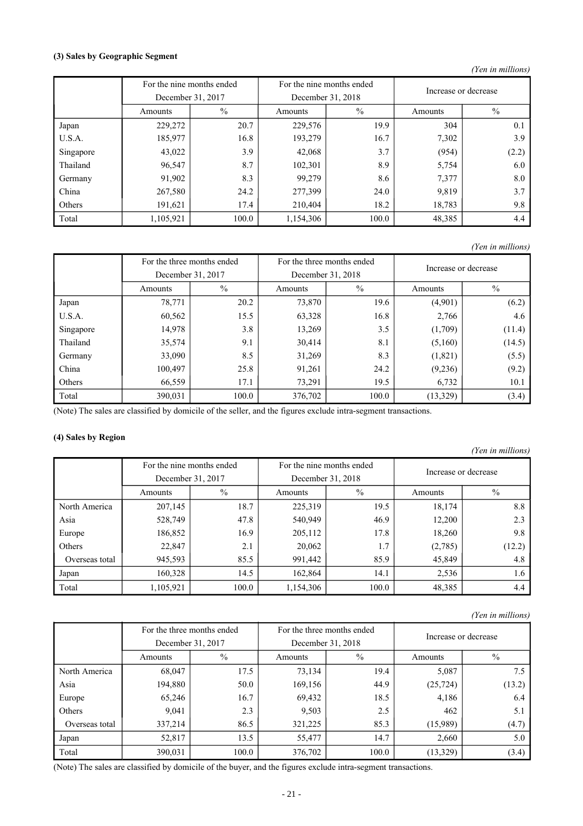### **(3) Sales by Geographic Segment**

*(Yen in millions)*

|           | For the nine months ended |       |                 | For the nine months ended | Increase or decrease |               |
|-----------|---------------------------|-------|-----------------|---------------------------|----------------------|---------------|
|           | December 31, 2017         |       |                 | December 31, 2018         |                      |               |
|           | $\%$<br>Amounts           |       | $\%$<br>Amounts |                           | Amounts              | $\frac{0}{0}$ |
| Japan     | 229,272                   | 20.7  | 229,576         | 19.9                      | 304                  | 0.1           |
| U.S.A.    | 185,977                   | 16.8  | 193,279         | 16.7                      | 7,302                | 3.9           |
| Singapore | 43,022                    | 3.9   | 42,068          | 3.7                       | (954)                | (2.2)         |
| Thailand  | 96,547                    | 8.7   | 102,301         | 8.9                       | 5,754                | 6.0           |
| Germany   | 91,902                    | 8.3   | 99,279          | 8.6                       | 7,377                | 8.0           |
| China     | 267,580                   | 24.2  | 277,399         | 24.0                      | 9,819                | 3.7           |
| Others    | 191,621                   | 17.4  | 210,404         | 18.2                      | 18,783               | 9.8           |
| Total     | 1,105,921                 | 100.0 | 1,154,306       | 100.0                     | 48,385               | 4.4           |

*(Yen in millions)*

|           | For the three months ended<br>December 31, 2017 |       |         | For the three months ended<br>December 31, 2018 | Increase or decrease |        |
|-----------|-------------------------------------------------|-------|---------|-------------------------------------------------|----------------------|--------|
|           | $\frac{0}{0}$<br>Amounts                        |       | Amounts | $\%$                                            | Amounts              | $\%$   |
| Japan     | 78,771                                          | 20.2  | 73,870  | 19.6                                            | (4,901)              | (6.2)  |
| U.S.A.    | 60,562                                          | 15.5  | 63,328  | 16.8                                            | 2,766                | 4.6    |
| Singapore | 14,978                                          | 3.8   | 13,269  | 3.5                                             | (1,709)              | (11.4) |
| Thailand  | 35,574                                          | 9.1   | 30,414  | 8.1                                             | (5,160)              | (14.5) |
| Germany   | 33,090                                          | 8.5   | 31,269  | 8.3                                             | (1,821)              | (5.5)  |
| China     | 100,497                                         | 25.8  | 91,261  | 24.2                                            | (9,236)              | (9.2)  |
| Others    | 66,559                                          | 17.1  | 73,291  | 19.5                                            | 6,732                | 10.1   |
| Total     | 390,031                                         | 100.0 | 376,702 | 100.0                                           | (13, 329)            | (3.4)  |

(Note) The sales are classified by domicile of the seller, and the figures exclude intra-segment transactions.

### **(4) Sales by Region**

*(Yen in millions)* For the nine months ended For the nine months ended Increase or decrease December 31, 2017 December 31, 2018 Amounts |  $\%$  | Amounts |  $\%$  | Amounts |  $\%$ North America 207,145 18.7 225,319 19.5 18,174 8.8 Asia 528,749 47.8 540,949 46.9 12,200 2.3 Europe | 186,852 | 16.9 | 205,112 | 17.8 | 18,260 | 9.8 Others 1 22,847 2.1 20,062 1.7 (2,785) (12.2) Overseas total 945,593 85.5 991,442 85.9 45,849 4.8 Japan | 160,328 14.5 162,864 14.1 2,536 1.6 Total 1,105,921 100.0 1,154,306 100.0 48,385 4.4

### *(Yen in millions)*

|                |         | For the three months ended |         | For the three months ended | Increase or decrease |        |
|----------------|---------|----------------------------|---------|----------------------------|----------------------|--------|
|                |         | December 31, 2017          |         | December 31, 2018          |                      |        |
|                | Amounts | $\%$                       | Amounts | $\%$                       | Amounts              | $\%$   |
| North America  | 68,047  | 17.5                       | 73,134  | 19.4                       | 5,087                | 7.5    |
| Asia           | 194,880 | 50.0                       | 169,156 | 44.9                       | (25, 724)            | (13.2) |
| Europe         | 65,246  | 16.7                       | 69,432  | 18.5                       | 4,186                | 6.4    |
| Others         | 9,041   | 2.3                        | 9,503   | 2.5                        | 462                  | 5.1    |
| Overseas total | 337,214 | 86.5                       | 321,225 | 85.3                       | (15,989)             | (4.7)  |
| Japan          | 52,817  | 13.5                       | 55,477  | 14.7                       | 2,660                | 5.0    |
| Total          | 390,031 | 100.0                      | 376,702 | 100.0                      | (13, 329)            | (3.4)  |

(Note) The sales are classified by domicile of the buyer, and the figures exclude intra-segment transactions.